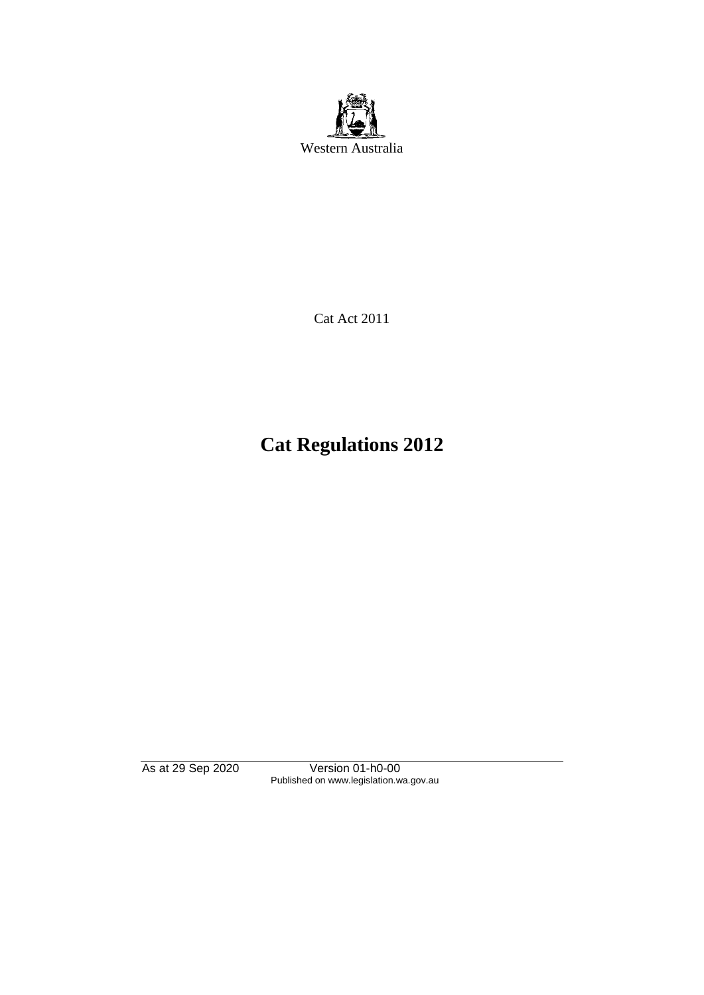

Cat Act 2011

# **Cat Regulations 2012**

As at 29 Sep 2020 Version 01-h0-00 Published on www.legislation.wa.gov.au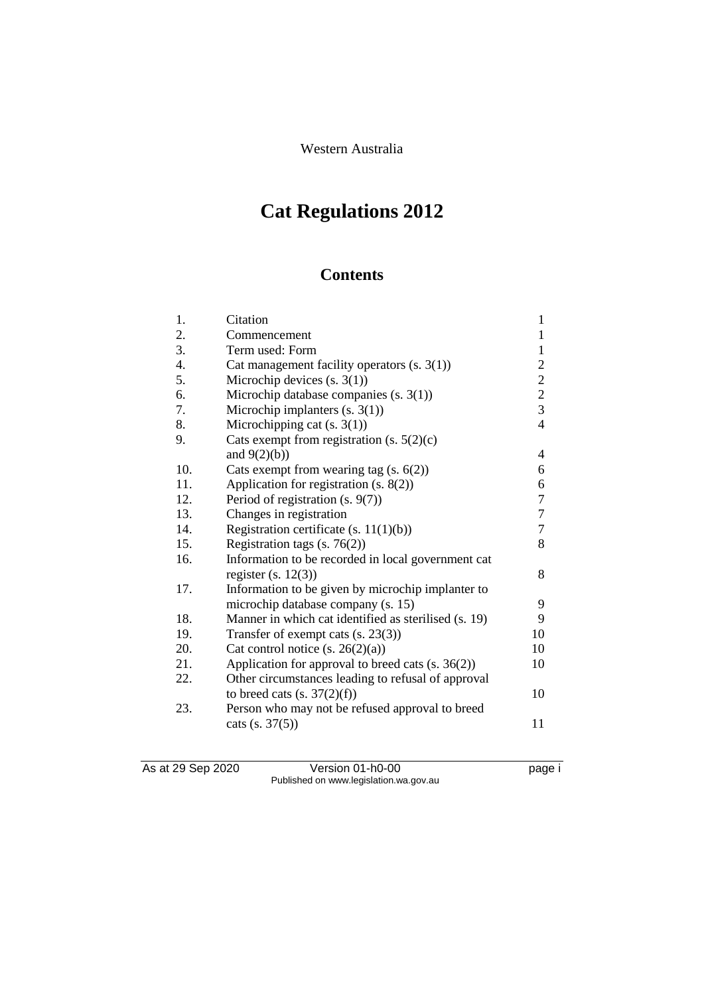Western Australia

# **Cat Regulations 2012**

## **Contents**

| 1.  | Citation                                             | $\mathbf{1}$     |
|-----|------------------------------------------------------|------------------|
| 2.  | Commencement                                         | $\mathbf{1}$     |
| 3.  | Term used: Form                                      | $\mathbf{1}$     |
| 4.  | Cat management facility operators $(s. 3(1))$        | $\overline{c}$   |
| 5.  | Microchip devices $(s, 3(1))$                        | $\overline{c}$   |
| 6.  | Microchip database companies $(s. 3(1))$             | $\overline{c}$   |
| 7.  | Microchip implanters $(s. 3(1))$                     | $\overline{3}$   |
| 8.  | Microchipping cat $(s. 3(1))$                        | $\overline{4}$   |
| 9.  | Cats exempt from registration $(s. 5(2)(c))$         |                  |
|     | and $9(2)(b)$ )                                      | 4                |
| 10. | Cats exempt from wearing tag $(s. 6(2))$             | 6                |
| 11. | Application for registration (s. 8(2))               | 6                |
| 12. | Period of registration (s. 9(7))                     | $\tau$           |
| 13. | Changes in registration                              | $\boldsymbol{7}$ |
| 14. | Registration certificate (s. $11(1)(b)$ )            | $\boldsymbol{7}$ |
| 15. | Registration tags $(s. 76(2))$                       | 8                |
| 16. | Information to be recorded in local government cat   |                  |
|     | register $(s. 12(3))$                                | 8                |
| 17. | Information to be given by microchip implanter to    |                  |
|     | microchip database company (s. 15)                   | 9                |
| 18. | Manner in which cat identified as sterilised (s. 19) | 9                |
| 19. | Transfer of exempt cats $(s. 23(3))$                 | 10               |
| 20. | Cat control notice $(s. 26(2)(a))$                   | 10               |
| 21. | Application for approval to breed cats (s. 36(2))    | 10               |
| 22. | Other circumstances leading to refusal of approval   |                  |
|     | to breed cats $(s. 37(2)(f))$                        | 10               |
| 23. | Person who may not be refused approval to breed      |                  |
|     | $\text{ cats } (s. 37(5))$                           | 11               |
|     |                                                      |                  |

As at 29 Sep 2020 Version 01-h0-00 page i Published on www.legislation.wa.gov.au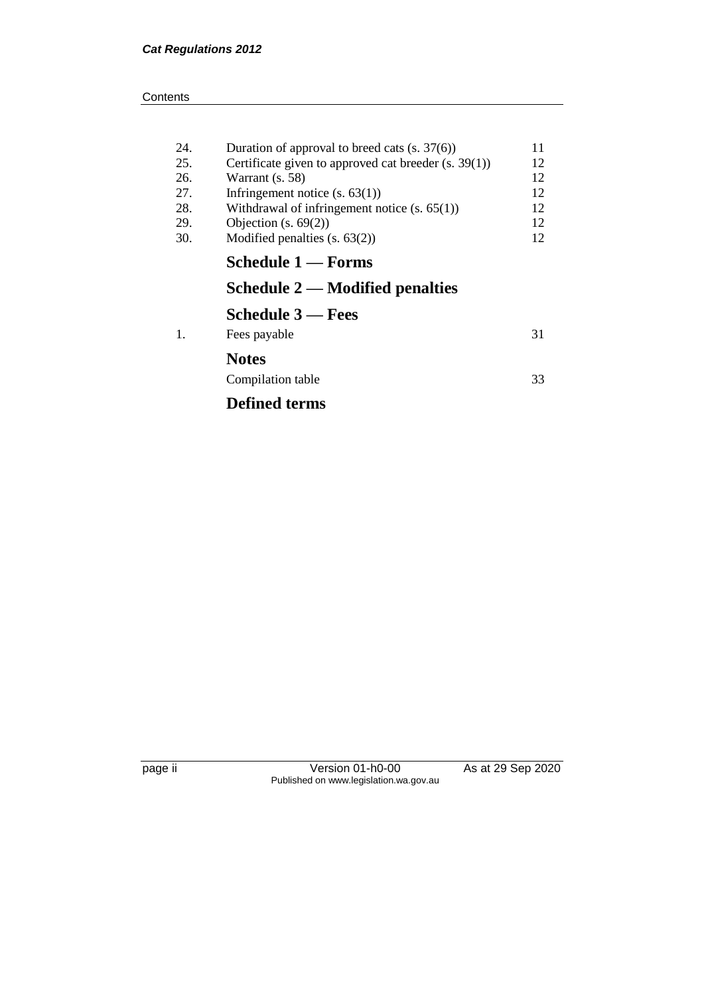| 24. | Duration of approval to breed cats $(s. 37(6))$      | 11 |
|-----|------------------------------------------------------|----|
| 25. | Certificate given to approved cat breeder (s. 39(1)) | 12 |
| 26. | Warrant (s. 58)                                      | 12 |
| 27. | Infringement notice $(s. 63(1))$                     | 12 |
| 28. | Withdrawal of infringement notice $(s. 65(1))$       | 12 |
| 29. | Objection $(s. 69(2))$                               | 12 |
| 30. | Modified penalties $(s. 63(2))$                      | 12 |
|     | Schedule 1 — Forms                                   |    |
|     | Schedule $2$ — Modified penalties                    |    |
|     | <b>Schedule 3 — Fees</b>                             |    |
| 1.  | Fees payable                                         | 31 |
|     | <b>Notes</b>                                         |    |
|     | Compilation table                                    | 33 |
|     | <b>Defined terms</b>                                 |    |

page ii Version 01-h0-00 As at 29 Sep 2020 Published on www.legislation.wa.gov.au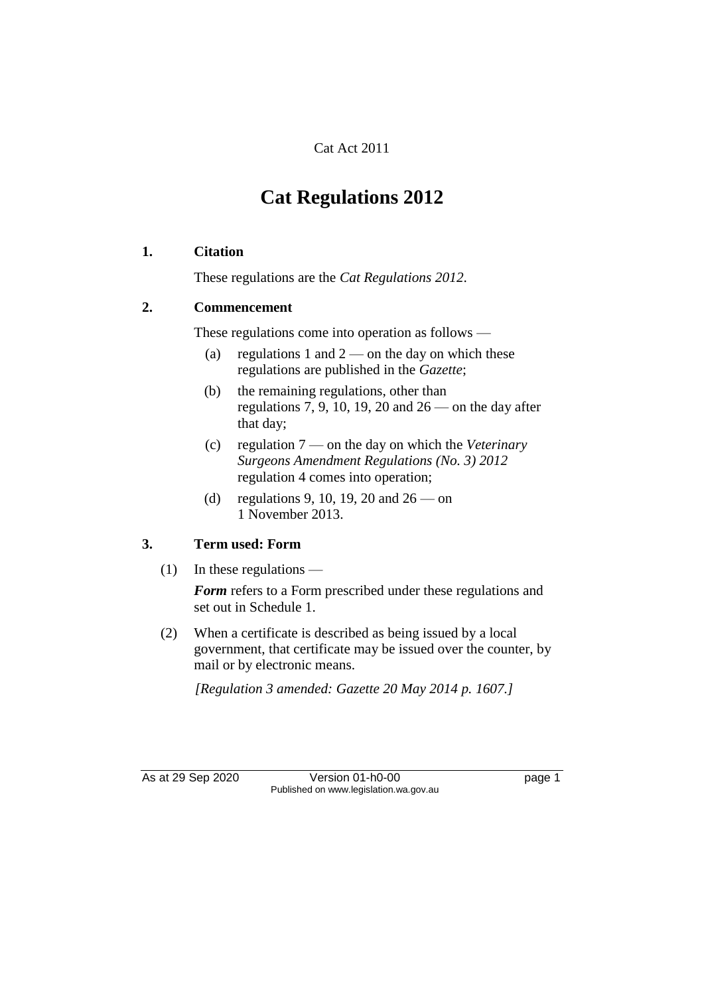#### Cat Act 2011

## **Cat Regulations 2012**

#### **1. Citation**

These regulations are the *Cat Regulations 2012*.

#### **2. Commencement**

These regulations come into operation as follows —

- (a) regulations 1 and  $2$  on the day on which these regulations are published in the *Gazette*;
- (b) the remaining regulations, other than regulations 7, 9, 10, 19, 20 and  $26$  — on the day after that day;
- (c) regulation 7 on the day on which the *Veterinary Surgeons Amendment Regulations (No. 3) 2012* regulation 4 comes into operation;
- (d) regulations 9, 10, 19, 20 and  $26 -$  on 1 November 2013.

#### **3. Term used: Form**

(1) In these regulations —

*Form* refers to a Form prescribed under these regulations and set out in Schedule 1.

(2) When a certificate is described as being issued by a local government, that certificate may be issued over the counter, by mail or by electronic means.

*[Regulation 3 amended: Gazette 20 May 2014 p. 1607.]*

As at 29 Sep 2020 Version 01-h0-00 page 1 Published on www.legislation.wa.gov.au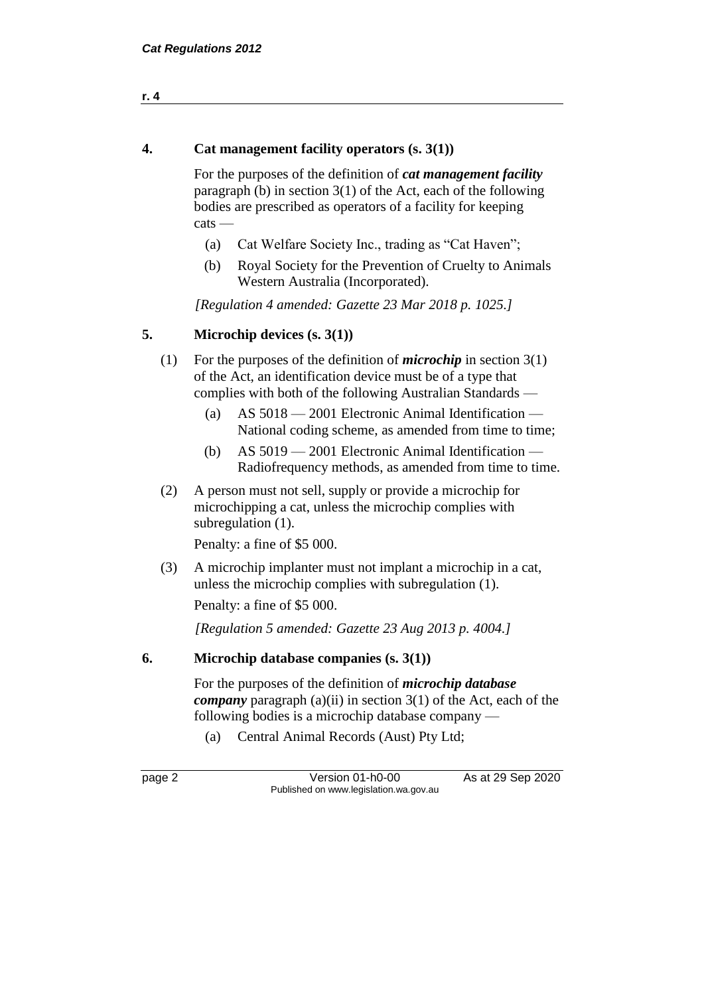4. Cat management facility operators 
$$
(s. 3(1))
$$

For the purposes of the definition of *cat management facility* paragraph (b) in section 3(1) of the Act, each of the following bodies are prescribed as operators of a facility for keeping cats —

- (a) Cat Welfare Society Inc., trading as "Cat Haven";
- (b) Royal Society for the Prevention of Cruelty to Animals Western Australia (Incorporated).

*[Regulation 4 amended: Gazette 23 Mar 2018 p. 1025.]*

#### **5. Microchip devices (s. 3(1))**

- (1) For the purposes of the definition of *microchip* in section 3(1) of the Act, an identification device must be of a type that complies with both of the following Australian Standards —
	- (a) AS 5018 2001 Electronic Animal Identification National coding scheme, as amended from time to time;
	- (b) AS 5019 2001 Electronic Animal Identification Radiofrequency methods, as amended from time to time.
- (2) A person must not sell, supply or provide a microchip for microchipping a cat, unless the microchip complies with subregulation (1).

Penalty: a fine of \$5 000.

(3) A microchip implanter must not implant a microchip in a cat, unless the microchip complies with subregulation (1).

Penalty: a fine of \$5 000.

*[Regulation 5 amended: Gazette 23 Aug 2013 p. 4004.]*

#### **6. Microchip database companies (s. 3(1))**

For the purposes of the definition of *microchip database company* paragraph (a)(ii) in section 3(1) of the Act, each of the following bodies is a microchip database company —

(a) Central Animal Records (Aust) Pty Ltd;

page 2 Version 01-h0-00 As at 29 Sep 2020 Published on www.legislation.wa.gov.au

**r. 4**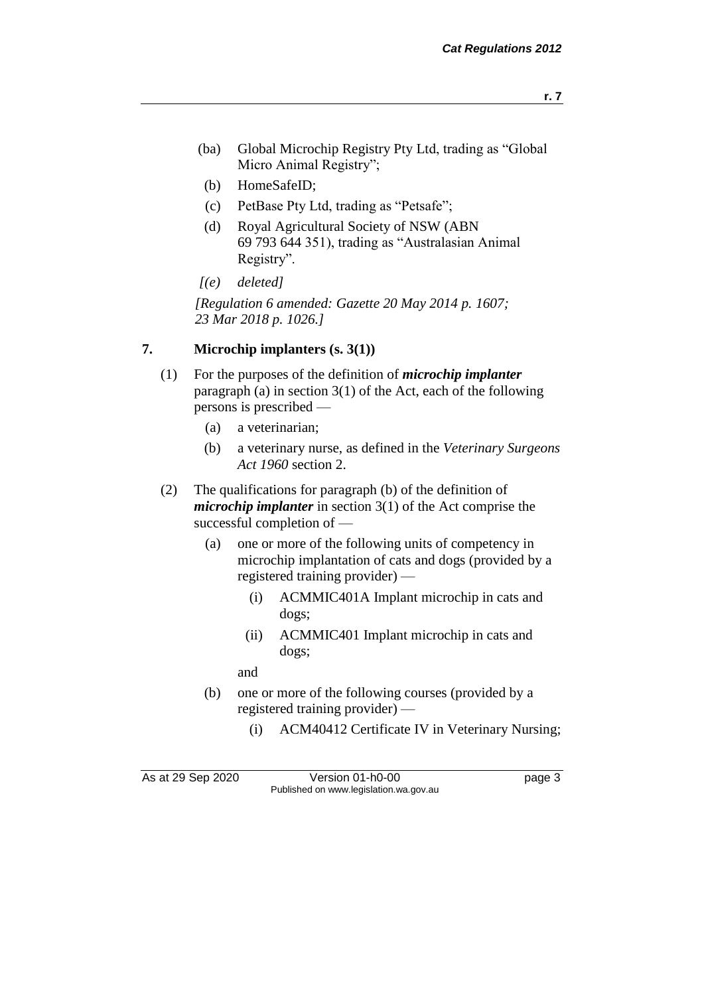- (ba) Global Microchip Registry Pty Ltd, trading as "Global Micro Animal Registry";
- (b) HomeSafeID;
- (c) PetBase Pty Ltd, trading as "Petsafe";
- (d) Royal Agricultural Society of NSW (ABN 69 793 644 351), trading as "Australasian Animal Registry".
- *[(e) deleted]*

*[Regulation 6 amended: Gazette 20 May 2014 p. 1607; 23 Mar 2018 p. 1026.]*

#### **7. Microchip implanters (s. 3(1))**

- (1) For the purposes of the definition of *microchip implanter* paragraph (a) in section 3(1) of the Act, each of the following persons is prescribed —
	- (a) a veterinarian;
	- (b) a veterinary nurse, as defined in the *Veterinary Surgeons Act 1960* section 2.
- (2) The qualifications for paragraph (b) of the definition of *microchip implanter* in section 3(1) of the Act comprise the successful completion of —
	- (a) one or more of the following units of competency in microchip implantation of cats and dogs (provided by a registered training provider) —
		- (i) ACMMIC401A Implant microchip in cats and dogs;
		- (ii) ACMMIC401 Implant microchip in cats and dogs;

and

- (b) one or more of the following courses (provided by a registered training provider) —
	- (i) ACM40412 Certificate IV in Veterinary Nursing;

As at 29 Sep 2020 Version 01-h0-00 page 3 Published on www.legislation.wa.gov.au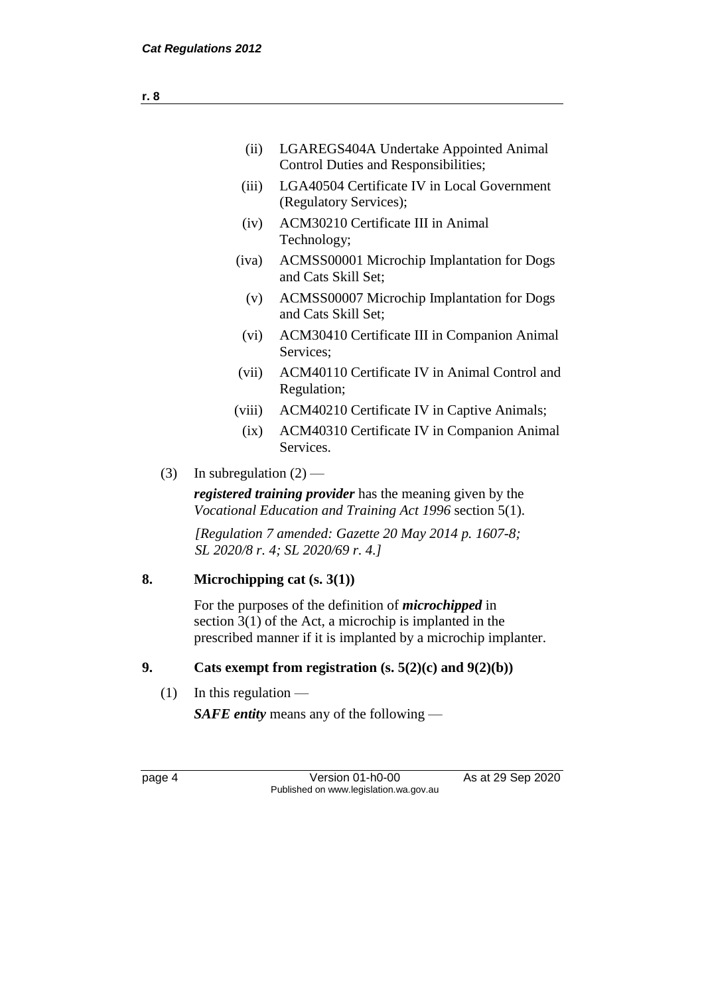|                                                                                                                              | (ii)                                                                                                                                                                                         | LGAREGS404A Undertake Appointed Animal                                                     |  |
|------------------------------------------------------------------------------------------------------------------------------|----------------------------------------------------------------------------------------------------------------------------------------------------------------------------------------------|--------------------------------------------------------------------------------------------|--|
|                                                                                                                              |                                                                                                                                                                                              | <b>Control Duties and Responsibilities;</b>                                                |  |
|                                                                                                                              | (iii)                                                                                                                                                                                        | LGA40504 Certificate IV in Local Government<br>(Regulatory Services);                      |  |
|                                                                                                                              | (iv)                                                                                                                                                                                         | <b>ACM30210 Certificate III in Animal</b><br>Technology;                                   |  |
|                                                                                                                              | (iva)                                                                                                                                                                                        | ACMSS00001 Microchip Implantation for Dogs<br>and Cats Skill Set;                          |  |
|                                                                                                                              | (v)                                                                                                                                                                                          | ACMSS00007 Microchip Implantation for Dogs<br>and Cats Skill Set;                          |  |
|                                                                                                                              | (vi)                                                                                                                                                                                         | ACM30410 Certificate III in Companion Animal<br>Services;                                  |  |
|                                                                                                                              | (vii)                                                                                                                                                                                        | ACM40110 Certificate IV in Animal Control and<br>Regulation;                               |  |
|                                                                                                                              | (viii)                                                                                                                                                                                       | ACM40210 Certificate IV in Captive Animals;                                                |  |
|                                                                                                                              | (ix)                                                                                                                                                                                         | ACM40310 Certificate IV in Companion Animal<br>Services.                                   |  |
| (3)                                                                                                                          | In subregulation $(2)$ —                                                                                                                                                                     |                                                                                            |  |
| <i>registered training provider</i> has the meaning given by the<br>Vocational Education and Training Act 1996 section 5(1). |                                                                                                                                                                                              |                                                                                            |  |
|                                                                                                                              |                                                                                                                                                                                              | [Regulation 7 amended: Gazette 20 May 2014 p. 1607-8;<br>SL 2020/8 r. 4; SL 2020/69 r. 4.] |  |
| 8.                                                                                                                           |                                                                                                                                                                                              | Microchipping cat $(s, 3(1))$                                                              |  |
|                                                                                                                              | For the purposes of the definition of <i>microchipped</i> in<br>section $3(1)$ of the Act, a microchip is implanted in the<br>prescribed manner if it is implanted by a microchip implanter. |                                                                                            |  |

### **9. Cats exempt from registration (s. 5(2)(c) and 9(2)(b))**

(1) In this regulation —

*SAFE entity* means any of the following —

page 4 Version 01-h0-00 As at 29 Sep 2020 Published on www.legislation.wa.gov.au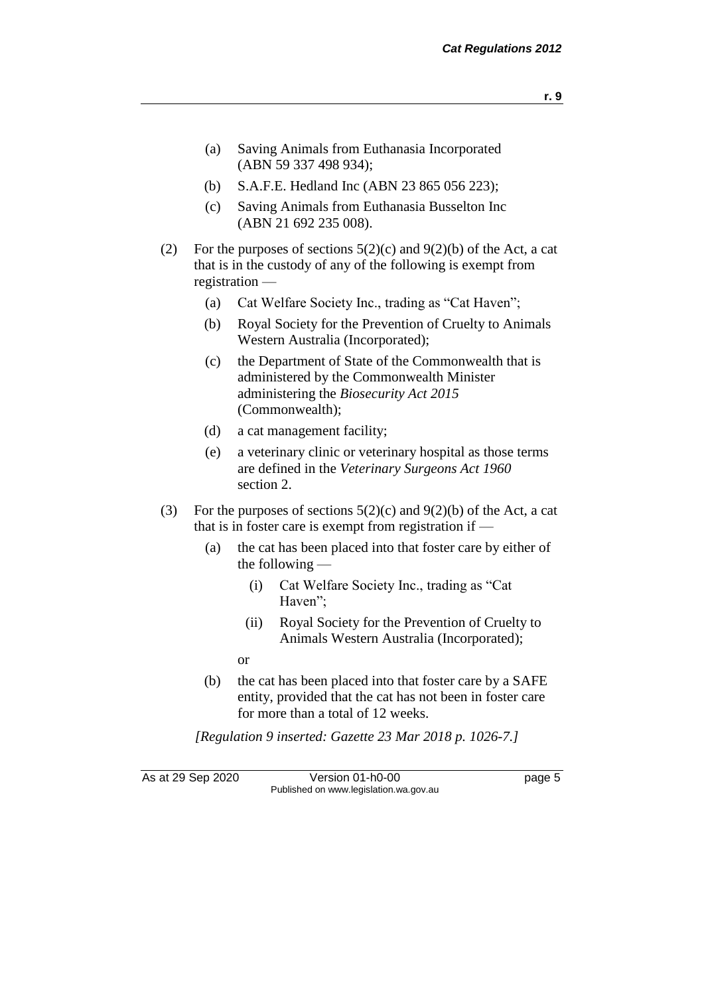- **r. 9**
- (a) Saving Animals from Euthanasia Incorporated (ABN 59 337 498 934);
- (b) S.A.F.E. Hedland Inc (ABN 23 865 056 223);
- (c) Saving Animals from Euthanasia Busselton Inc (ABN 21 692 235 008).
- (2) For the purposes of sections  $5(2)(c)$  and  $9(2)(b)$  of the Act, a cat that is in the custody of any of the following is exempt from registration —
	- (a) Cat Welfare Society Inc., trading as "Cat Haven";
	- (b) Royal Society for the Prevention of Cruelty to Animals Western Australia (Incorporated);
	- (c) the Department of State of the Commonwealth that is administered by the Commonwealth Minister administering the *Biosecurity Act 2015* (Commonwealth);
	- (d) a cat management facility;
	- (e) a veterinary clinic or veterinary hospital as those terms are defined in the *Veterinary Surgeons Act 1960* section 2.
- (3) For the purposes of sections  $5(2)(c)$  and  $9(2)(b)$  of the Act, a cat that is in foster care is exempt from registration if —
	- (a) the cat has been placed into that foster care by either of the following —
		- (i) Cat Welfare Society Inc., trading as "Cat Haven";
		- (ii) Royal Society for the Prevention of Cruelty to Animals Western Australia (Incorporated);

or

(b) the cat has been placed into that foster care by a SAFE entity, provided that the cat has not been in foster care for more than a total of 12 weeks.

*[Regulation 9 inserted: Gazette 23 Mar 2018 p. 1026-7.]*

As at 29 Sep 2020 Version 01-h0-00 page 5 Published on www.legislation.wa.gov.au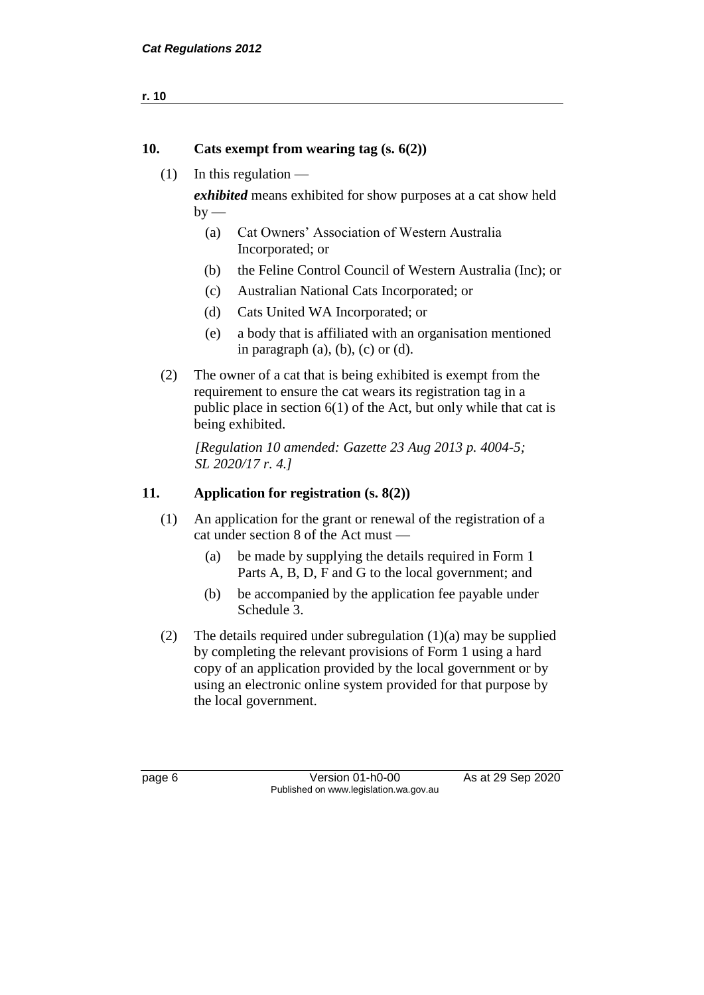```
r. 10
```
#### **10. Cats exempt from wearing tag (s. 6(2))**

(1) In this regulation —

*exhibited* means exhibited for show purposes at a cat show held  $by -$ 

- (a) Cat Owners' Association of Western Australia Incorporated; or
- (b) the Feline Control Council of Western Australia (Inc); or
- (c) Australian National Cats Incorporated; or
- (d) Cats United WA Incorporated; or
- (e) a body that is affiliated with an organisation mentioned in paragraph  $(a)$ ,  $(b)$ ,  $(c)$  or  $(d)$ .
- (2) The owner of a cat that is being exhibited is exempt from the requirement to ensure the cat wears its registration tag in a public place in section 6(1) of the Act, but only while that cat is being exhibited.

*[Regulation 10 amended: Gazette 23 Aug 2013 p. 4004-5; SL 2020/17 r. 4.]*

#### **11. Application for registration (s. 8(2))**

- (1) An application for the grant or renewal of the registration of a cat under section 8 of the Act must —
	- (a) be made by supplying the details required in Form 1 Parts A, B, D, F and G to the local government; and
	- (b) be accompanied by the application fee payable under Schedule 3.
- (2) The details required under subregulation  $(1)(a)$  may be supplied by completing the relevant provisions of Form 1 using a hard copy of an application provided by the local government or by using an electronic online system provided for that purpose by the local government.

page 6 Version 01-h0-00 As at 29 Sep 2020 Published on www.legislation.wa.gov.au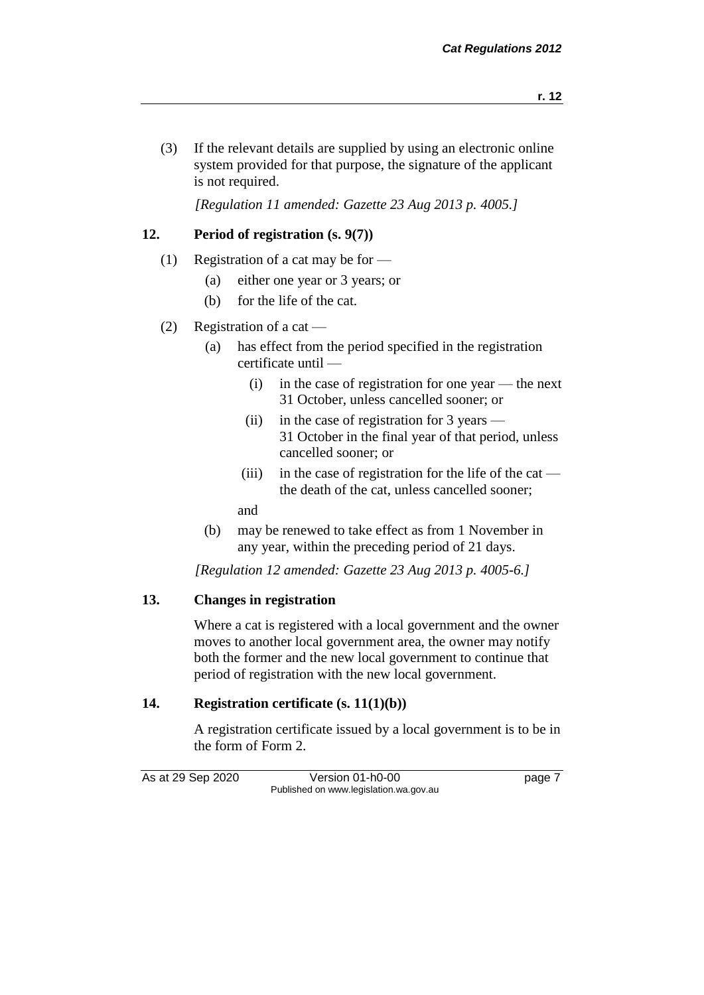- 
- (3) If the relevant details are supplied by using an electronic online system provided for that purpose, the signature of the applicant is not required.

*[Regulation 11 amended: Gazette 23 Aug 2013 p. 4005.]*

#### **12. Period of registration (s. 9(7))**

- (1) Registration of a cat may be for
	- (a) either one year or 3 years; or
	- (b) for the life of the cat.

#### (2) Registration of a cat —

- (a) has effect from the period specified in the registration certificate until —
	- (i) in the case of registration for one year the next 31 October, unless cancelled sooner; or
	- (ii) in the case of registration for 3 years 31 October in the final year of that period, unless cancelled sooner; or
	- (iii) in the case of registration for the life of the cat the death of the cat, unless cancelled sooner;

and

(b) may be renewed to take effect as from 1 November in any year, within the preceding period of 21 days.

*[Regulation 12 amended: Gazette 23 Aug 2013 p. 4005-6.]*

#### **13. Changes in registration**

Where a cat is registered with a local government and the owner moves to another local government area, the owner may notify both the former and the new local government to continue that period of registration with the new local government.

#### **14. Registration certificate (s. 11(1)(b))**

A registration certificate issued by a local government is to be in the form of Form 2.

As at 29 Sep 2020 Version 01-h0-00 page 7 Published on www.legislation.wa.gov.au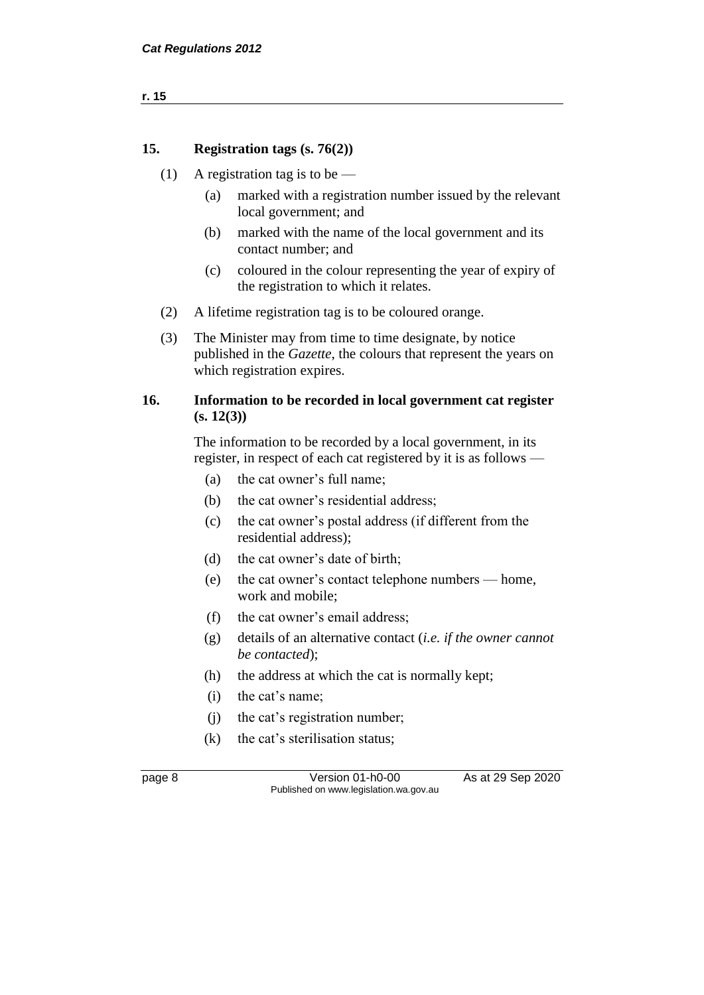**r. 15**

#### **15. Registration tags (s. 76(2))**

- (1) A registration tag is to be
	- (a) marked with a registration number issued by the relevant local government; and
	- (b) marked with the name of the local government and its contact number; and
	- (c) coloured in the colour representing the year of expiry of the registration to which it relates.
- (2) A lifetime registration tag is to be coloured orange.
- (3) The Minister may from time to time designate, by notice published in the *Gazette*, the colours that represent the years on which registration expires.

#### **16. Information to be recorded in local government cat register (s. 12(3))**

The information to be recorded by a local government, in its register, in respect of each cat registered by it is as follows —

- (a) the cat owner's full name;
- (b) the cat owner's residential address;
- (c) the cat owner's postal address (if different from the residential address);
- (d) the cat owner's date of birth;
- (e) the cat owner's contact telephone numbers home, work and mobile;
- (f) the cat owner's email address;
- (g) details of an alternative contact (*i.e. if the owner cannot be contacted*);
- (h) the address at which the cat is normally kept;
- (i) the cat's name;
- (j) the cat's registration number;
- (k) the cat's sterilisation status;

page 8 Version 01-h0-00 As at 29 Sep 2020 Published on www.legislation.wa.gov.au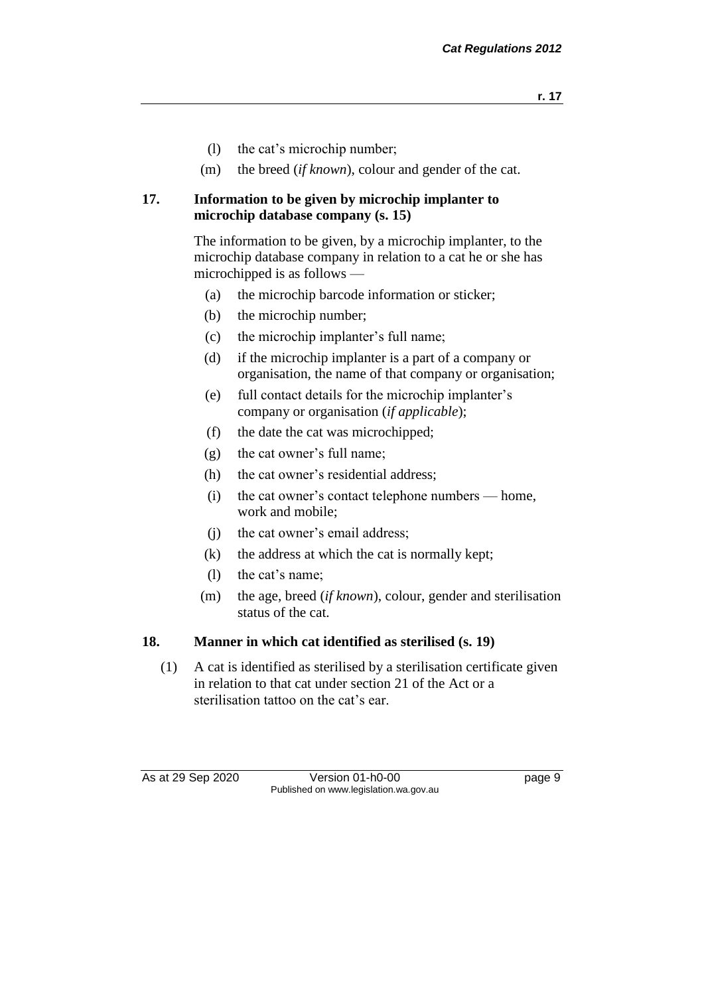- (l) the cat's microchip number;
- (m) the breed (*if known*), colour and gender of the cat.

#### **17. Information to be given by microchip implanter to microchip database company (s. 15)**

The information to be given, by a microchip implanter, to the microchip database company in relation to a cat he or she has microchipped is as follows —

- (a) the microchip barcode information or sticker;
- (b) the microchip number;
- (c) the microchip implanter's full name;
- (d) if the microchip implanter is a part of a company or organisation, the name of that company or organisation;
- (e) full contact details for the microchip implanter's company or organisation (*if applicable*);
- (f) the date the cat was microchipped;
- (g) the cat owner's full name;
- (h) the cat owner's residential address;
- (i) the cat owner's contact telephone numbers home, work and mobile;
- (j) the cat owner's email address;
- (k) the address at which the cat is normally kept;
- (l) the cat's name;
- (m) the age, breed (*if known*), colour, gender and sterilisation status of the cat.

#### **18. Manner in which cat identified as sterilised (s. 19)**

(1) A cat is identified as sterilised by a sterilisation certificate given in relation to that cat under section 21 of the Act or a sterilisation tattoo on the cat's ear.

As at 29 Sep 2020 Version 01-h0-00 page 9 Published on www.legislation.wa.gov.au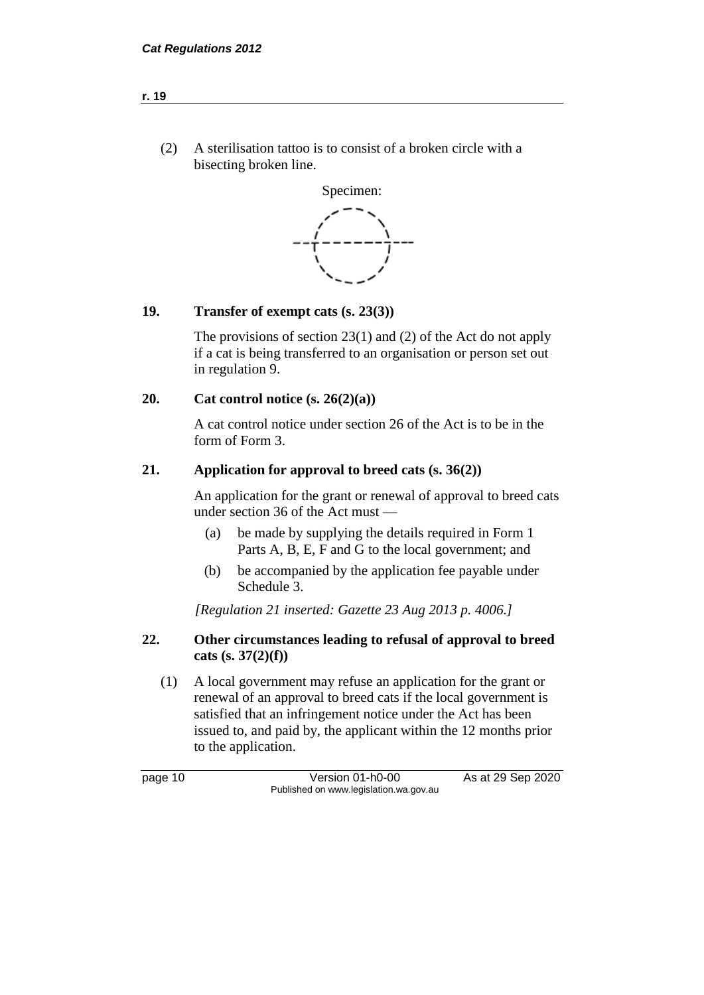(2) A sterilisation tattoo is to consist of a broken circle with a bisecting broken line.



#### **19. Transfer of exempt cats (s. 23(3))**

The provisions of section 23(1) and (2) of the Act do not apply if a cat is being transferred to an organisation or person set out in regulation 9.

#### **20. Cat control notice (s. 26(2)(a))**

A cat control notice under section 26 of the Act is to be in the form of Form 3.

#### **21. Application for approval to breed cats (s. 36(2))**

An application for the grant or renewal of approval to breed cats under section 36 of the Act must —

- (a) be made by supplying the details required in Form 1 Parts A, B, E, F and G to the local government; and
- (b) be accompanied by the application fee payable under Schedule 3.

*[Regulation 21 inserted: Gazette 23 Aug 2013 p. 4006.]*

#### **22. Other circumstances leading to refusal of approval to breed cats (s. 37(2)(f))**

(1) A local government may refuse an application for the grant or renewal of an approval to breed cats if the local government is satisfied that an infringement notice under the Act has been issued to, and paid by, the applicant within the 12 months prior to the application.

page 10 Version 01-h0-00 As at 29 Sep 2020 Published on www.legislation.wa.gov.au

**r. 19**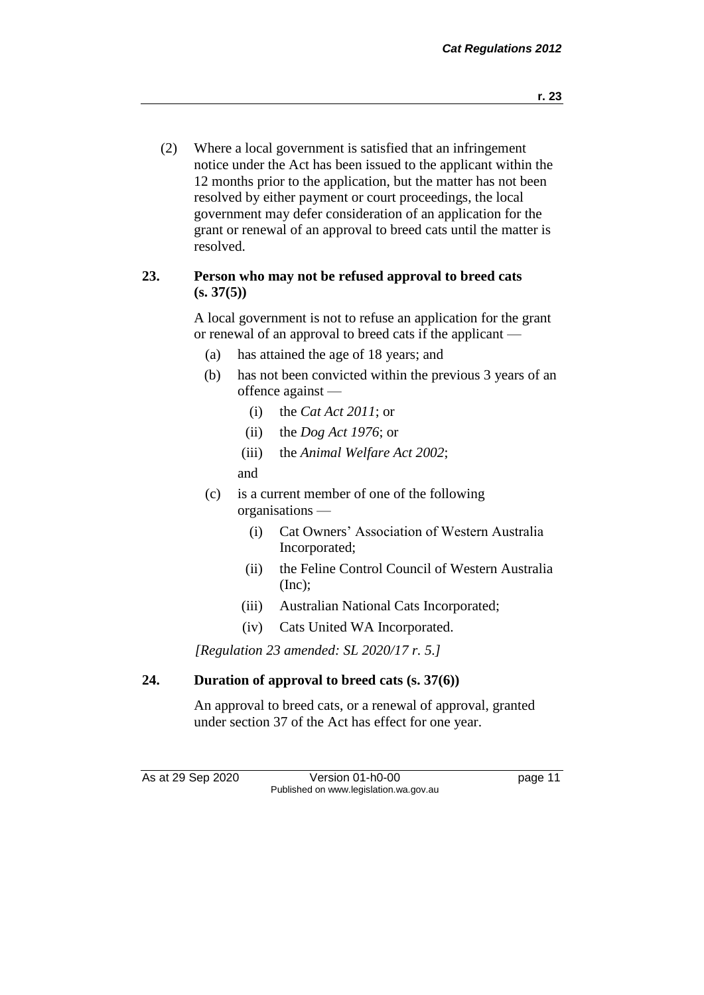(2) Where a local government is satisfied that an infringement notice under the Act has been issued to the applicant within the 12 months prior to the application, but the matter has not been resolved by either payment or court proceedings, the local government may defer consideration of an application for the grant or renewal of an approval to breed cats until the matter is resolved.

#### **23. Person who may not be refused approval to breed cats (s. 37(5))**

A local government is not to refuse an application for the grant or renewal of an approval to breed cats if the applicant —

- (a) has attained the age of 18 years; and
- (b) has not been convicted within the previous 3 years of an offence against —
	- (i) the *Cat Act 2011*; or
	- (ii) the *Dog Act 1976*; or
	- (iii) the *Animal Welfare Act 2002*;
	- and
- (c) is a current member of one of the following organisations —
	- (i) Cat Owners' Association of Western Australia Incorporated;
	- (ii) the Feline Control Council of Western Australia  $(Inc);$
	- (iii) Australian National Cats Incorporated;
	- (iv) Cats United WA Incorporated.

*[Regulation 23 amended: SL 2020/17 r. 5.]*

#### **24. Duration of approval to breed cats (s. 37(6))**

An approval to breed cats, or a renewal of approval, granted under section 37 of the Act has effect for one year.

As at 29 Sep 2020 Version 01-h0-00 page 11 Published on www.legislation.wa.gov.au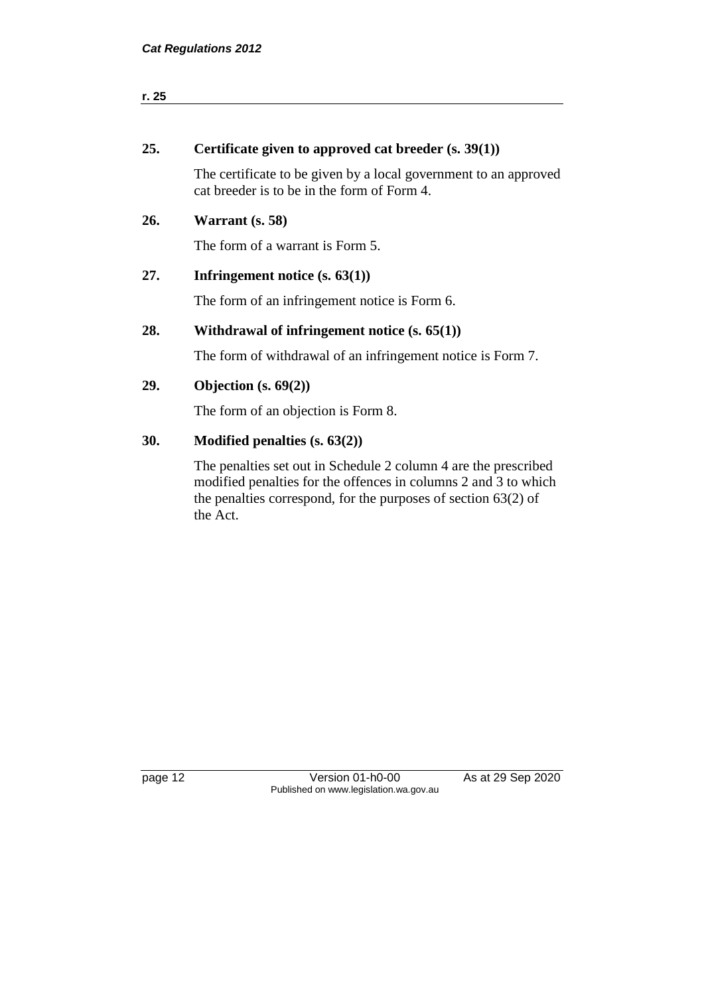| r. 25 |                                                                                                                                                                                                                    |
|-------|--------------------------------------------------------------------------------------------------------------------------------------------------------------------------------------------------------------------|
|       |                                                                                                                                                                                                                    |
| 25.   | Certificate given to approved cat breeder $(s, 39(1))$                                                                                                                                                             |
|       | The certificate to be given by a local government to an approved<br>cat breeder is to be in the form of Form 4.                                                                                                    |
| 26.   | Warrant (s. 58)                                                                                                                                                                                                    |
|       | The form of a warrant is Form 5.                                                                                                                                                                                   |
| 27.   | Infringement notice $(s. 63(1))$                                                                                                                                                                                   |
|       | The form of an infringement notice is Form 6.                                                                                                                                                                      |
| 28.   | Withdrawal of infringement notice $(s. 65(1))$                                                                                                                                                                     |
|       | The form of withdrawal of an infringement notice is Form 7.                                                                                                                                                        |
| 29.   | Objection $(s. 69(2))$                                                                                                                                                                                             |
|       | The form of an objection is Form 8.                                                                                                                                                                                |
| 30.   | Modified penalties $(s. 63(2))$                                                                                                                                                                                    |
|       | The penalties set out in Schedule 2 column 4 are the prescribed<br>modified penalties for the offences in columns 2 and 3 to which<br>the penalties correspond, for the purposes of section $63(2)$ of<br>the Act. |
|       |                                                                                                                                                                                                                    |
|       |                                                                                                                                                                                                                    |

page 12 **Detail Contract Contract Version 01-h0-00** As at 29 Sep 2020 Published on www.legislation.wa.gov.au

 $\overline{\phantom{0}}$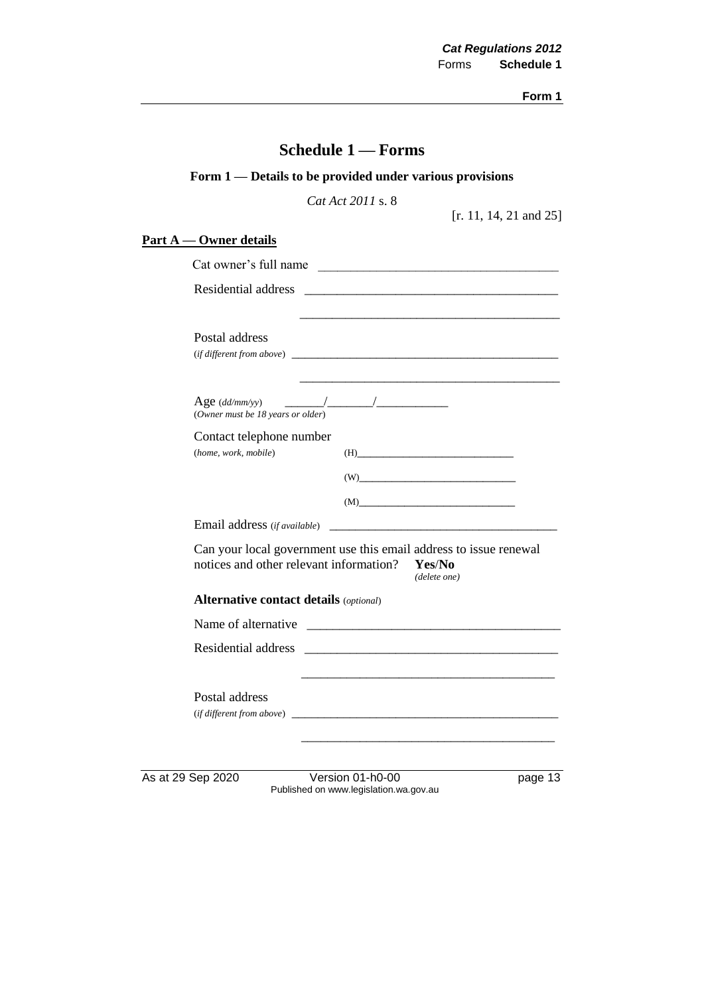|                                                  | Form 1 — Details to be provided under various provisions                                                                                                                                                                                              |
|--------------------------------------------------|-------------------------------------------------------------------------------------------------------------------------------------------------------------------------------------------------------------------------------------------------------|
|                                                  | Cat Act 2011 s. 8<br>[r. 11, 14, 21 and $25$ ]                                                                                                                                                                                                        |
| <u>Part A — Owner details</u>                    |                                                                                                                                                                                                                                                       |
|                                                  | Cat owner's full name                                                                                                                                                                                                                                 |
|                                                  |                                                                                                                                                                                                                                                       |
| Postal address                                   | <u> 1989 - Johann Barn, mars an t-Amerikaansk politiker (* 1908)</u><br>$(if\, different\, from\, above)$ $\qquad \qquad$                                                                                                                             |
| (Owner must be 18 years or older)                |                                                                                                                                                                                                                                                       |
| Contact telephone number<br>(home, work, mobile) | $(H)$                                                                                                                                                                                                                                                 |
|                                                  |                                                                                                                                                                                                                                                       |
|                                                  | $(M)$ and $(M)$ and $(M)$ and $(M)$ are $(M)$ and $(M)$ are $(M)$ and $(M)$ are $(M)$ and $(M)$ are $(M)$ and $(M)$ are $(M)$ and $(M)$ are $(M)$ and $(M)$ are $(M)$ and $(M)$ are $(M)$ and $(M)$ are $(M)$ and $(M)$ are $(M)$ and $(M)$ are $(M)$ |
|                                                  |                                                                                                                                                                                                                                                       |
| notices and other relevant information?          | Can your local government use this email address to issue renewal<br>Yes/No<br>(delete one)                                                                                                                                                           |
| <b>Alternative contact details (optional)</b>    |                                                                                                                                                                                                                                                       |
|                                                  |                                                                                                                                                                                                                                                       |
| Residential address                              |                                                                                                                                                                                                                                                       |
| Postal address<br>(if different from above)      |                                                                                                                                                                                                                                                       |
| As at 29 Sep 2020                                | Version 01-h0-00<br>page 13<br>Published on www.legislation.wa.gov.au                                                                                                                                                                                 |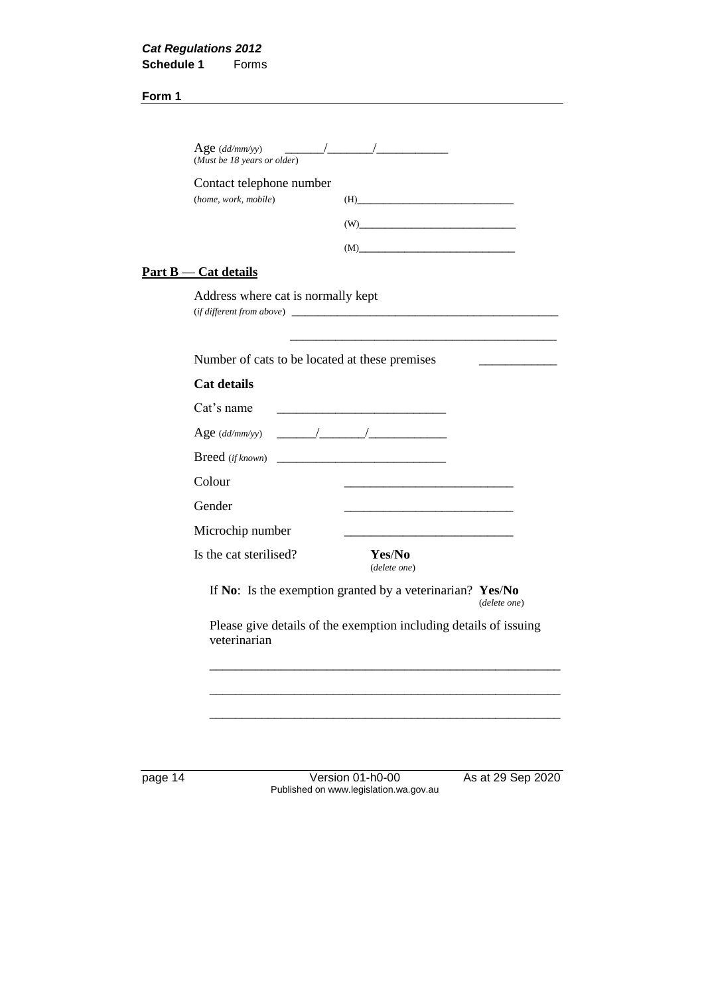| (Must be 18 years or older)                      |                                                                                                                      |  |
|--------------------------------------------------|----------------------------------------------------------------------------------------------------------------------|--|
| Contact telephone number<br>(home, work, mobile) | $(H) \qquad \qquad (H)$                                                                                              |  |
|                                                  | (W)                                                                                                                  |  |
|                                                  | (M)                                                                                                                  |  |
| <u>Part B — Cat details</u>                      |                                                                                                                      |  |
| Address where cat is normally kept               |                                                                                                                      |  |
| Number of cats to be located at these premises   |                                                                                                                      |  |
| Cat details                                      |                                                                                                                      |  |
| Cat's name                                       | <u> 1989 - Johann Barn, mars eta bainar eta bainar eta baina eta baina eta baina eta baina eta baina eta baina e</u> |  |
| Age $(dd/mm/yy)$                                 |                                                                                                                      |  |
| <b>Breed</b> (if known)                          |                                                                                                                      |  |
| Colour                                           |                                                                                                                      |  |
| Gender                                           |                                                                                                                      |  |
| Microchip number                                 |                                                                                                                      |  |
| Is the cat sterilised?                           | Yes/No<br>(delete one)                                                                                               |  |
|                                                  | If No: Is the exemption granted by a veterinarian? Yes/No<br>(delete one)                                            |  |
| veterinarian                                     | Please give details of the exemption including details of issuing                                                    |  |
|                                                  |                                                                                                                      |  |
|                                                  |                                                                                                                      |  |

page 14 **Deciminal Contract Version 01-h0-00** As at 29 Sep 2020 Published on www.legislation.wa.gov.au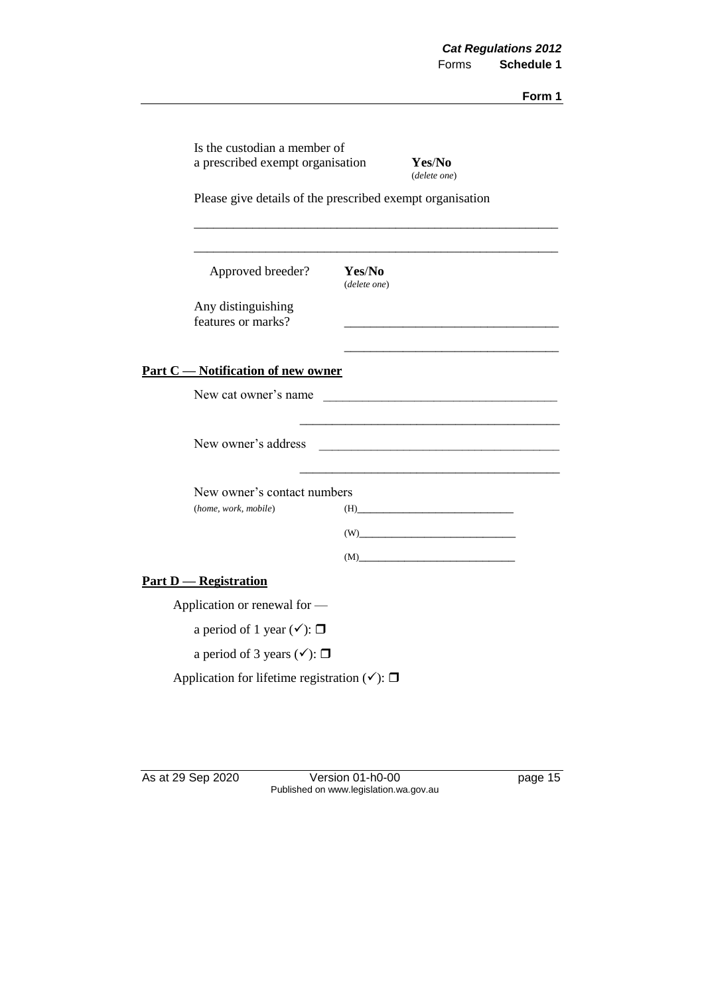| Is the custodian a member of<br>a prescribed exempt organisation |                        | Yes/No<br>(delete one) |  |
|------------------------------------------------------------------|------------------------|------------------------|--|
| Please give details of the prescribed exempt organisation        |                        |                        |  |
| Approved breeder?                                                | Yes/No<br>(delete one) |                        |  |
| Any distinguishing<br>features or marks?                         |                        |                        |  |
| <b>Part C</b> - Notification of new owner                        |                        |                        |  |
| New cat owner's name                                             |                        |                        |  |
| New owner's address                                              |                        |                        |  |
| New owner's contact numbers                                      |                        |                        |  |
| (home, work, mobile)                                             |                        | $(H)$                  |  |
|                                                                  |                        | (W)                    |  |
|                                                                  |                        | (M)                    |  |
| <b>Part D</b> - Registration                                     |                        |                        |  |
| Application or renewal for -                                     |                        |                        |  |
| a period of 1 year $(\checkmark)$ : $\Box$                       |                        |                        |  |
| a period of 3 years $(\checkmark)$ : $\Box$                      |                        |                        |  |
| Application for lifetime registration $(\checkmark)$ : $\Box$    |                        |                        |  |

As at 29 Sep 2020 Version 01-h0-00 page 15 Published on www.legislation.wa.gov.au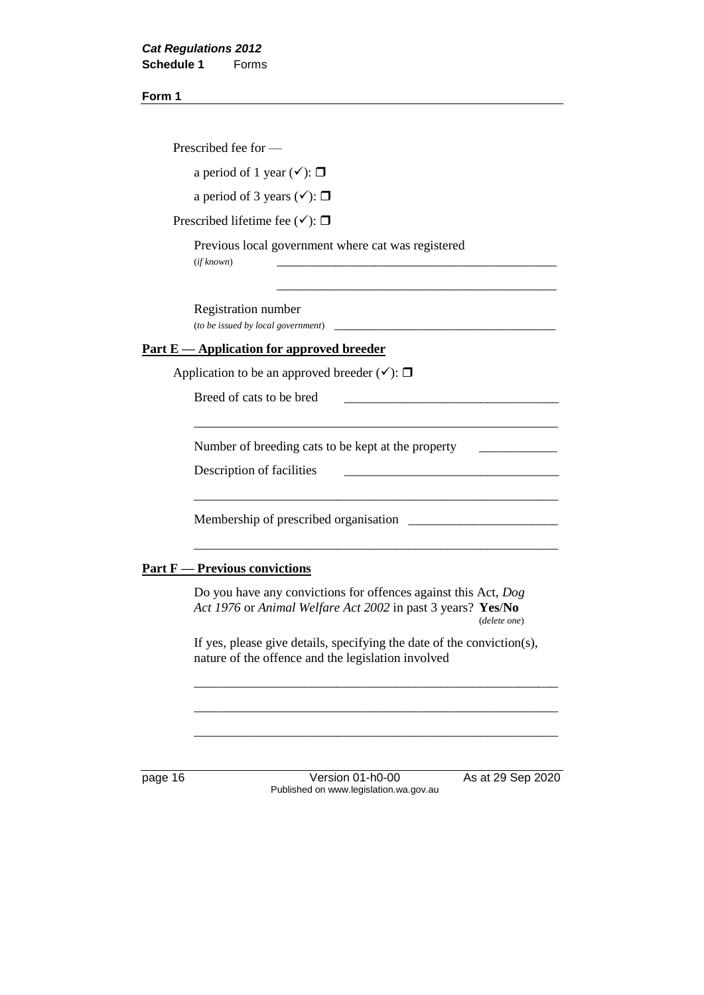|        | Prescribed fee for —                                                                                                                          |
|--------|-----------------------------------------------------------------------------------------------------------------------------------------------|
|        | a period of 1 year $(\checkmark)$ : $\Box$                                                                                                    |
|        | a period of 3 years $(\checkmark)$ : $\Box$                                                                                                   |
|        | Prescribed lifetime fee $(\checkmark)$ : $\Box$                                                                                               |
|        | Previous local government where cat was registered<br>(if known)                                                                              |
|        | Registration number<br>(to be issued by local government)                                                                                     |
|        | <u>Part E — Application for approved breeder</u>                                                                                              |
|        | Application to be an approved breeder $(\checkmark)$ : $\Box$                                                                                 |
|        | Breed of cats to be bred                                                                                                                      |
|        | Number of breeding cats to be kept at the property                                                                                            |
|        | Description of facilities                                                                                                                     |
|        | Membership of prescribed organisation                                                                                                         |
| Part F | - Previous convictions                                                                                                                        |
|        | Do you have any convictions for offences against this Act, Dog<br>Act 1976 or Animal Welfare Act 2002 in past 3 years? Yes/No<br>(delete one) |
|        | If yes, please give details, specifying the date of the conviction(s),<br>nature of the offence and the legislation involved                  |
|        |                                                                                                                                               |

page 16 Version 01-h0-00 As at 29 Sep 2020 Published on www.legislation.wa.gov.au

\_\_\_\_\_\_\_\_\_\_\_\_\_\_\_\_\_\_\_\_\_\_\_\_\_\_\_\_\_\_\_\_\_\_\_\_\_\_\_\_\_\_\_\_\_\_\_\_\_\_\_\_\_\_\_\_

\_\_\_\_\_\_\_\_\_\_\_\_\_\_\_\_\_\_\_\_\_\_\_\_\_\_\_\_\_\_\_\_\_\_\_\_\_\_\_\_\_\_\_\_\_\_\_\_\_\_\_\_\_\_\_\_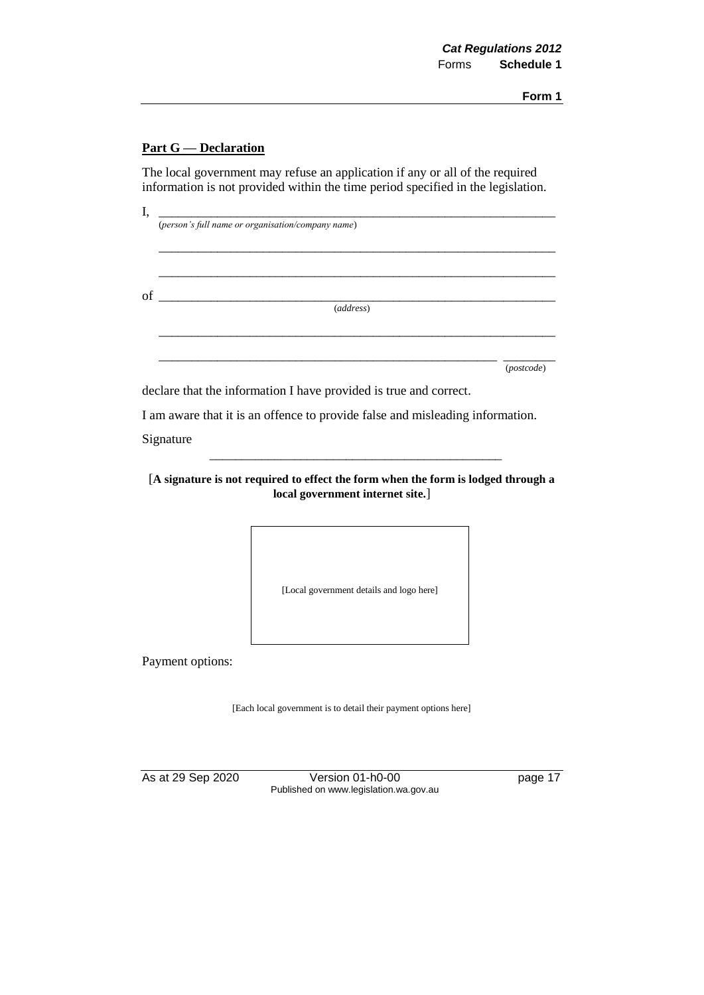#### **Part G — Declaration**

The local government may refuse an application if any or all of the required information is not provided within the time period specified in the legislation.

I, \_\_\_\_\_\_\_\_\_\_\_\_\_\_\_\_\_\_\_\_\_\_\_\_\_\_\_\_\_\_\_\_\_\_\_\_\_\_\_\_\_\_\_\_\_\_\_\_\_\_\_\_\_\_\_\_\_\_\_\_\_ (*person's full name or organisation/company name*) \_\_\_\_\_\_\_\_\_\_\_\_\_\_\_\_\_\_\_\_\_\_\_\_\_\_\_\_\_\_\_\_\_\_\_\_\_\_\_\_\_\_\_\_\_\_\_\_\_\_\_\_\_\_\_\_\_\_\_\_\_ \_\_\_\_\_\_\_\_\_\_\_\_\_\_\_\_\_\_\_\_\_\_\_\_\_\_\_\_\_\_\_\_\_\_\_\_\_\_\_\_\_\_\_\_\_\_\_\_\_\_\_\_\_\_\_\_\_\_\_\_\_  $of$   $\qquad \qquad \qquad$ (*address*) \_\_\_\_\_\_\_\_\_\_\_\_\_\_\_\_\_\_\_\_\_\_\_\_\_\_\_\_\_\_\_\_\_\_\_\_\_\_\_\_\_\_\_\_\_\_\_\_\_\_\_\_\_\_\_\_\_\_\_\_\_ \_\_\_\_\_\_\_\_\_\_\_\_\_\_\_\_\_\_\_\_\_\_\_\_\_\_\_\_\_\_\_\_\_\_\_\_\_\_\_\_\_\_\_\_\_\_\_\_\_\_\_\_ \_\_\_\_\_\_\_\_ (*postcode*) declare that the information I have provided is true and correct. I am aware that it is an offence to provide false and misleading information. Signature \_\_\_\_\_\_\_\_\_\_\_\_\_\_\_\_\_\_\_\_\_\_\_\_\_\_\_\_\_\_\_\_\_\_\_\_\_\_\_\_\_\_\_\_\_ [**A signature is not required to effect the form when the form is lodged through a local government internet site.**]

[Local government details and logo here]

Payment options:

[Each local government is to detail their payment options here]

As at 29 Sep 2020 Version 01-h0-00 page 17 Published on www.legislation.wa.gov.au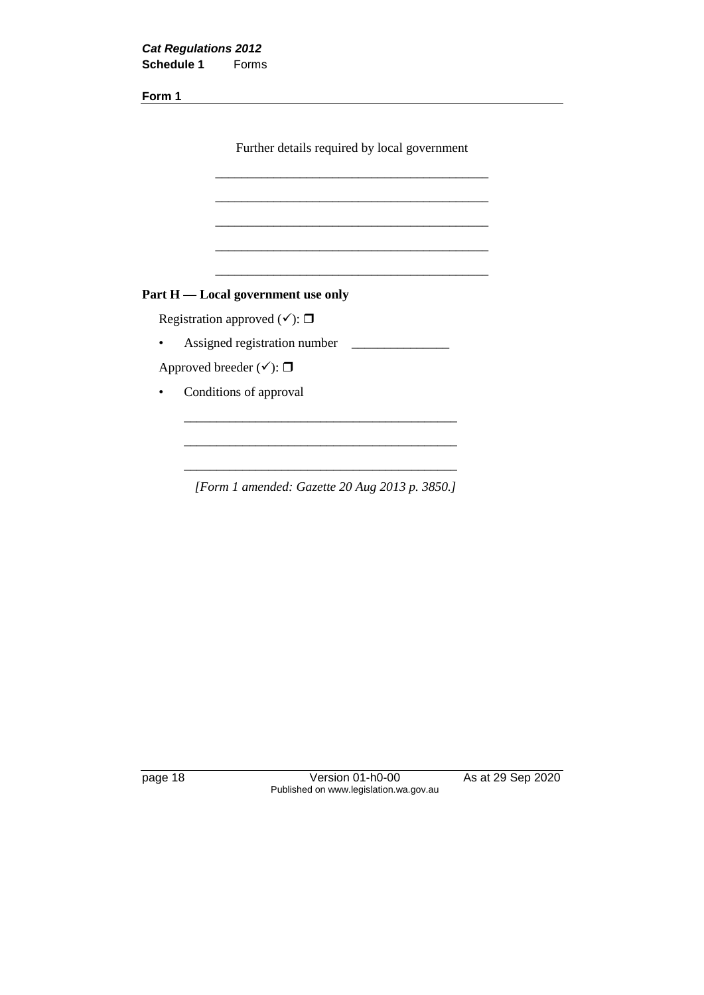| <b>Cat Regulations 2012</b> |       |
|-----------------------------|-------|
| <b>Schedule 1</b>           | Forms |

Further details required by local government

\_\_\_\_\_\_\_\_\_\_\_\_\_\_\_\_\_\_\_\_\_\_\_\_\_\_\_\_\_\_\_\_\_\_\_\_\_\_\_\_\_\_

\_\_\_\_\_\_\_\_\_\_\_\_\_\_\_\_\_\_\_\_\_\_\_\_\_\_\_\_\_\_\_\_\_\_\_\_\_\_\_\_\_\_

\_\_\_\_\_\_\_\_\_\_\_\_\_\_\_\_\_\_\_\_\_\_\_\_\_\_\_\_\_\_\_\_\_\_\_\_\_\_\_\_\_\_

\_\_\_\_\_\_\_\_\_\_\_\_\_\_\_\_\_\_\_\_\_\_\_\_\_\_\_\_\_\_\_\_\_\_\_\_\_\_\_\_\_\_

\_\_\_\_\_\_\_\_\_\_\_\_\_\_\_\_\_\_\_\_\_\_\_\_\_\_\_\_\_\_\_\_\_\_\_\_\_\_\_\_\_\_

## **Part H — Local government use only**

Registration approved  $(\checkmark)$ :  $\Box$ 

• Assigned registration number \_\_\_\_\_\_\_\_\_\_\_\_\_\_\_

Approved breeder  $(\checkmark)$ :  $\Box$ 

• Conditions of approval

*[Form 1 amended: Gazette 20 Aug 2013 p. 3850.]*

\_\_\_\_\_\_\_\_\_\_\_\_\_\_\_\_\_\_\_\_\_\_\_\_\_\_\_\_\_\_\_\_\_\_\_\_\_\_\_\_\_\_

\_\_\_\_\_\_\_\_\_\_\_\_\_\_\_\_\_\_\_\_\_\_\_\_\_\_\_\_\_\_\_\_\_\_\_\_\_\_\_\_\_\_

\_\_\_\_\_\_\_\_\_\_\_\_\_\_\_\_\_\_\_\_\_\_\_\_\_\_\_\_\_\_\_\_\_\_\_\_\_\_\_\_\_\_

page 18 Version 01-h0-00 As at 29 Sep 2020 Published on www.legislation.wa.gov.au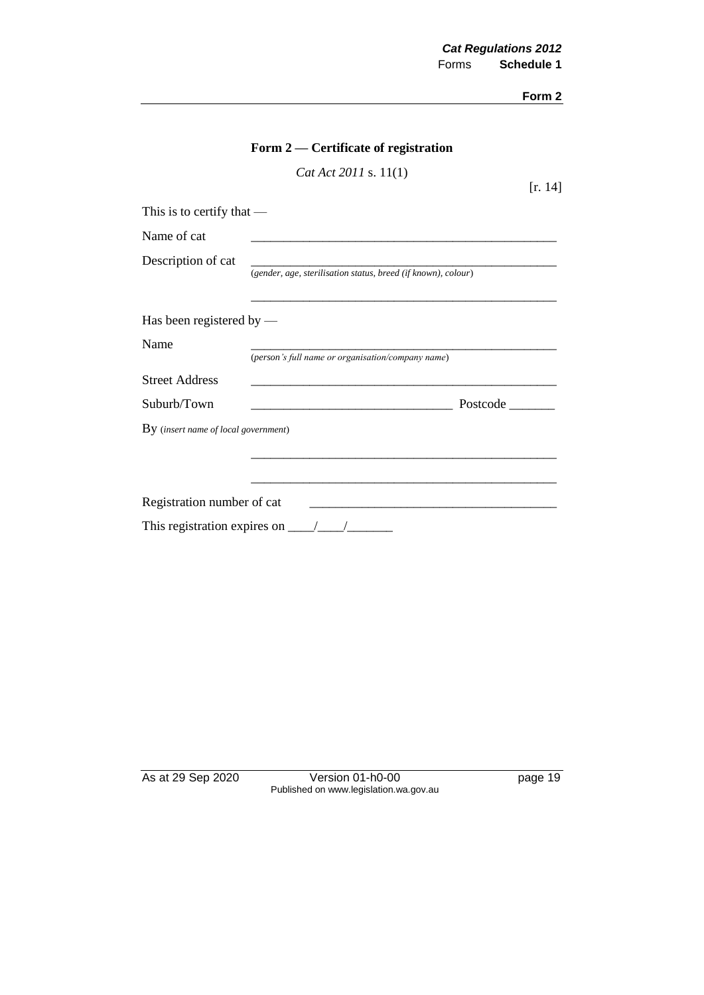|                                      | Form 2 — Certificate of registration                                                                                              |         |
|--------------------------------------|-----------------------------------------------------------------------------------------------------------------------------------|---------|
|                                      | Cat Act 2011 s. 11(1)                                                                                                             | [r. 14] |
| This is to certify that $-$          |                                                                                                                                   |         |
| Name of cat                          |                                                                                                                                   |         |
| Description of cat                   | (gender, age, sterilisation status, breed (if known), colour)                                                                     |         |
|                                      |                                                                                                                                   |         |
| Has been registered by $-$           |                                                                                                                                   |         |
| Name                                 | (person's full name or organisation/company name)                                                                                 |         |
| <b>Street Address</b>                |                                                                                                                                   |         |
| Suburb/Town                          | Postcode<br><u> 1989 - Johann Harry Harry Harry Harry Harry Harry Harry Harry Harry Harry Harry Harry Harry Harry Harry Harry</u> |         |
| By (insert name of local government) |                                                                                                                                   |         |
|                                      |                                                                                                                                   |         |
|                                      |                                                                                                                                   |         |
| Registration number of cat           | <u> 1980 - John Stein, Amerikaansk politiker (</u> † 1920)                                                                        |         |
|                                      | This registration expires on $\frac{\ }{\ }$                                                                                      |         |

As at 29 Sep 2020 Version 01-h0-00 page 19 Published on www.legislation.wa.gov.au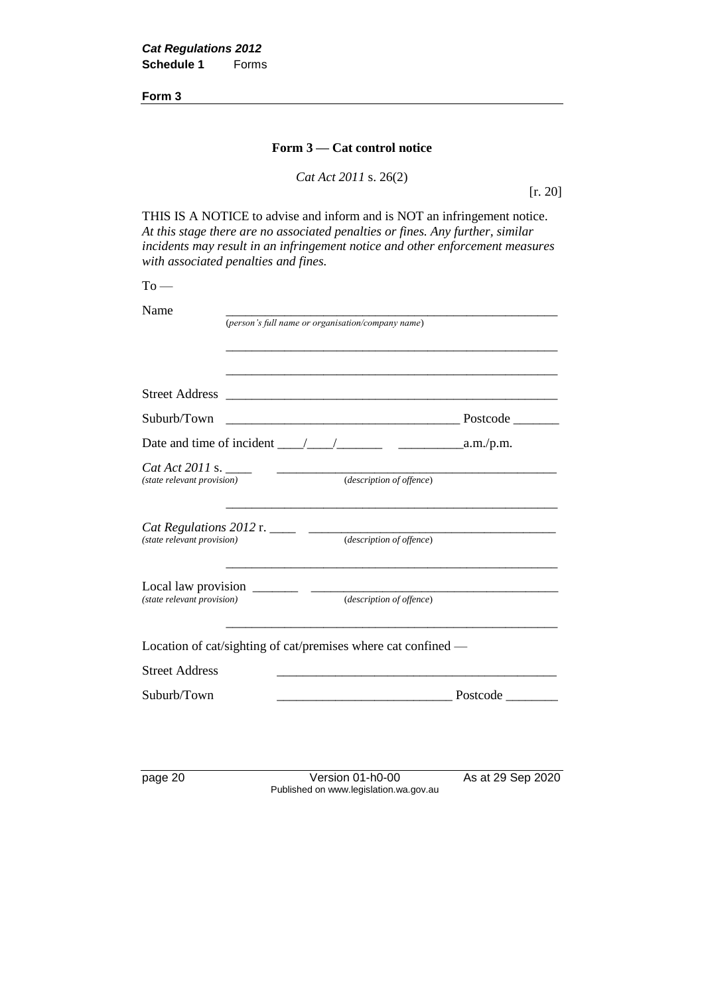#### **Form 3 — Cat control notice**

*Cat Act 2011* s. 26(2)

[r. 20]

THIS IS A NOTICE to advise and inform and is NOT an infringement notice. *At this stage there are no associated penalties or fines. Any further, similar incidents may result in an infringement notice and other enforcement measures with associated penalties and fines.*

 $To -$ 

| Name                       |                                                                                                                       |
|----------------------------|-----------------------------------------------------------------------------------------------------------------------|
|                            | (person's full name or organisation/company name)                                                                     |
|                            |                                                                                                                       |
|                            |                                                                                                                       |
|                            |                                                                                                                       |
| Suburb/Town                |                                                                                                                       |
|                            |                                                                                                                       |
| (state relevant provision) | Cat Act 2011 s. $\frac{1}{\sqrt{2\pi}}$<br>(description of offence)                                                   |
|                            | <u> 1989 - Johann Barn, amerikan bernama di sebagai bernama di sebagai bernama di sebagai bernama di sebagai bern</u> |
|                            |                                                                                                                       |
|                            | Cat Regulations 2012 r. _____ ______ (description of offence)                                                         |
|                            |                                                                                                                       |
|                            |                                                                                                                       |
|                            |                                                                                                                       |
|                            | Location of cat/sighting of cat/premises where cat confined —                                                         |
| <b>Street Address</b>      |                                                                                                                       |
| Suburb/Town                |                                                                                                                       |

page 20 Version 01-h0-00 As at 29 Sep 2020 Published on www.legislation.wa.gov.au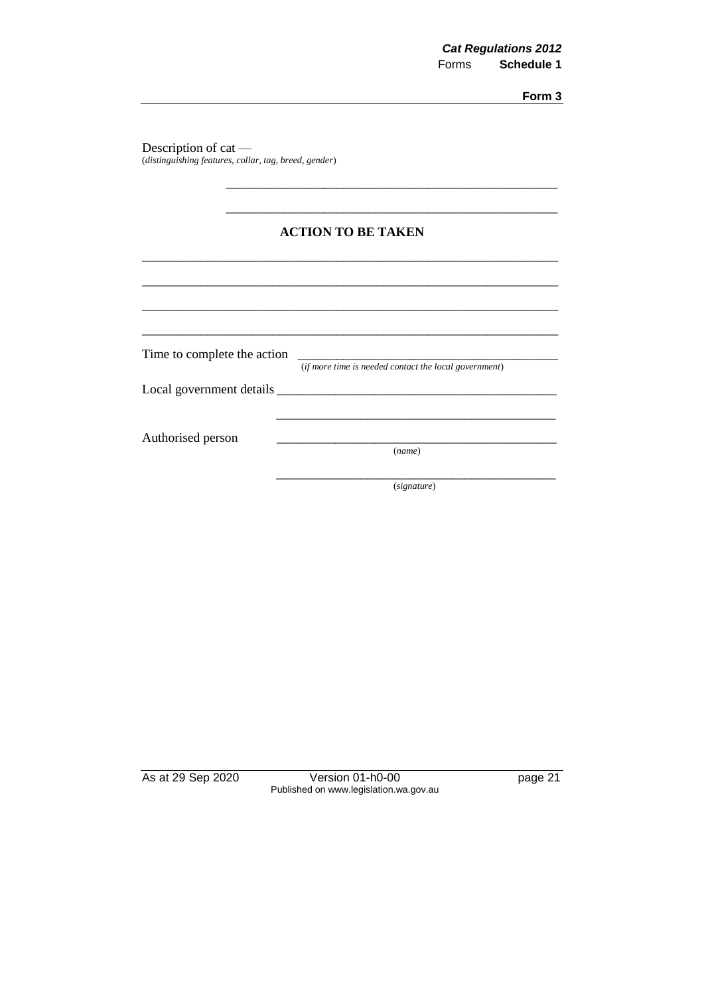Description of cat — (*distinguishing features, collar, tag, breed, gender*)

|  | <b>ACTION TO BE TAKEN</b> |
|--|---------------------------|
|--|---------------------------|

\_\_\_\_\_\_\_\_\_\_\_\_\_\_\_\_\_\_\_\_\_\_\_\_\_\_\_\_\_\_\_\_\_\_\_\_\_\_\_\_\_\_\_\_\_\_\_\_\_\_\_\_\_\_\_\_\_\_\_\_\_\_\_\_

\_\_\_\_\_\_\_\_\_\_\_\_\_\_\_\_\_\_\_\_\_\_\_\_\_\_\_\_\_\_\_\_\_\_\_\_\_\_\_\_\_\_\_\_\_\_\_\_\_\_\_\_\_\_\_\_\_\_\_\_\_\_\_\_

\_\_\_\_\_\_\_\_\_\_\_\_\_\_\_\_\_\_\_\_\_\_\_\_\_\_\_\_\_\_\_\_\_\_\_\_\_\_\_\_\_\_\_\_\_\_\_\_\_\_\_\_\_\_\_\_\_\_\_\_\_\_\_\_

\_\_\_\_\_\_\_\_\_\_\_\_\_\_\_\_\_\_\_\_\_\_\_\_\_\_\_\_\_\_\_\_\_\_\_\_\_\_\_\_\_\_\_\_\_\_\_\_\_\_\_\_\_\_\_\_\_\_\_\_\_\_\_\_

\_\_\_\_\_\_\_\_\_\_\_\_\_\_\_\_\_\_\_\_\_\_\_\_\_\_\_\_\_\_\_\_\_\_\_\_\_\_\_\_\_\_\_\_\_\_\_\_\_\_\_

\_\_\_\_\_\_\_\_\_\_\_\_\_\_\_\_\_\_\_\_\_\_\_\_\_\_\_\_\_\_\_\_\_\_\_\_\_\_\_\_\_\_\_\_\_\_\_\_\_\_\_

Time to complete the action

(*if more time is needed contact the local government*)

\_\_\_\_\_\_\_\_\_\_\_\_\_\_\_\_\_\_\_\_\_\_\_\_\_\_\_\_\_\_\_\_\_\_\_\_\_\_\_\_\_\_\_

Local government details \_\_\_\_\_\_\_\_\_\_\_\_\_\_\_\_\_\_\_\_\_\_\_\_\_\_\_\_\_\_\_\_\_\_\_\_\_\_\_\_\_\_\_

Authorised person

(*name*)

\_\_\_\_\_\_\_\_\_\_\_\_\_\_\_\_\_\_\_\_\_\_\_\_\_\_\_\_\_\_\_\_\_\_\_\_\_\_\_\_\_\_\_ (*signature*)

As at 29 Sep 2020 Version 01-h0-00 page 21 Published on www.legislation.wa.gov.au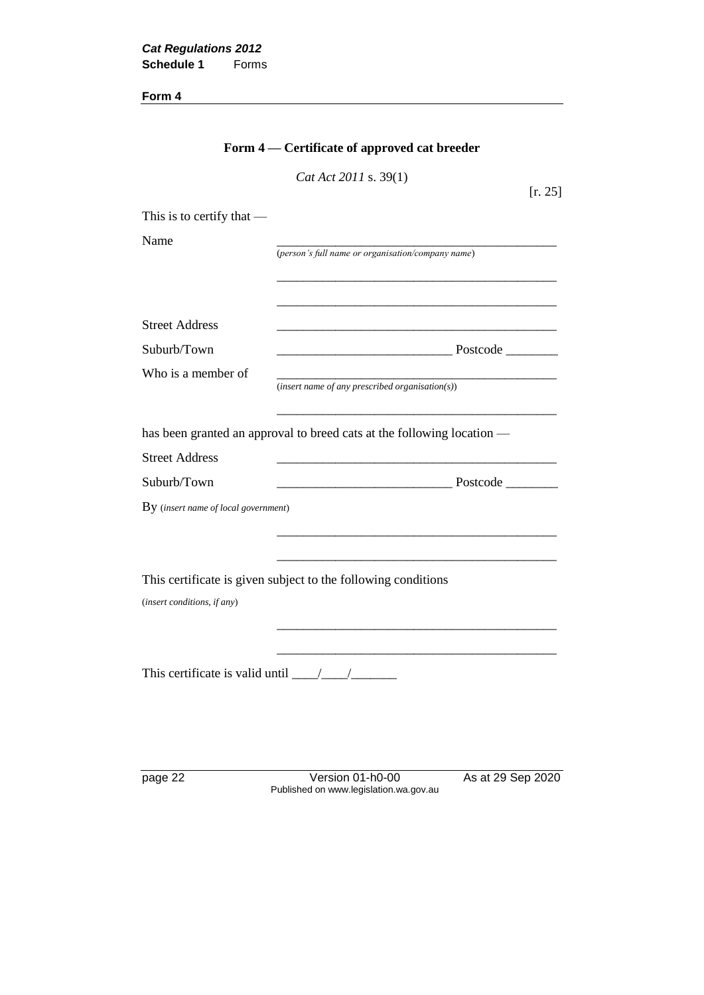|                                                                   | Form 4 — Certificate of approved cat breeder                           |         |
|-------------------------------------------------------------------|------------------------------------------------------------------------|---------|
|                                                                   | Cat Act 2011 s. 39(1)                                                  | [r. 25] |
| This is to certify that $-$                                       |                                                                        |         |
| Name                                                              |                                                                        |         |
|                                                                   | (person's full name or organisation/company name)                      |         |
| <b>Street Address</b>                                             | <u> 1989 - Johann Stoff, amerikansk politiker (* 1908)</u>             |         |
| Suburb/Town                                                       |                                                                        |         |
| Who is a member of                                                | $(insert name of any prescribed organisation(s))$                      |         |
|                                                                   | has been granted an approval to breed cats at the following location — |         |
| <b>Street Address</b>                                             |                                                                        |         |
| Suburb/Town                                                       |                                                                        |         |
| By (insert name of local government)                              |                                                                        |         |
| (insert conditions, if any)                                       | This certificate is given subject to the following conditions          |         |
| This certificate is valid until $\frac{1}{\sqrt{1-\frac{1}{2}}}\$ |                                                                        |         |
|                                                                   |                                                                        |         |

page 22 Version 01-h0-00 As at 29 Sep 2020 Published on www.legislation.wa.gov.au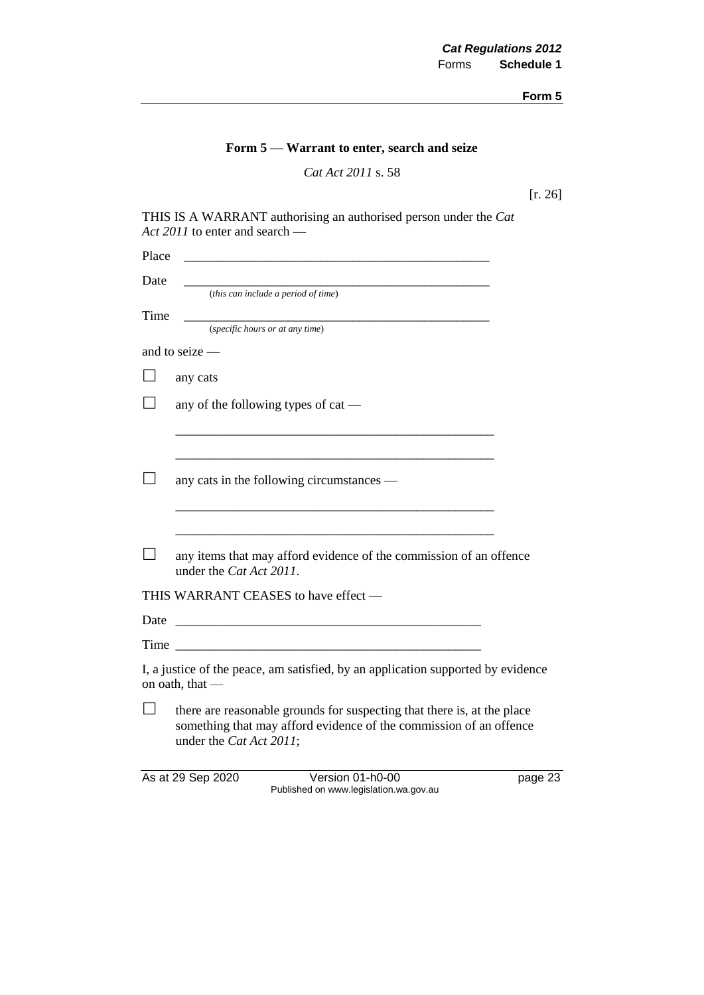|  | Form 5 – Warrant to enter, search and seize |  |  |  |  |
|--|---------------------------------------------|--|--|--|--|
|--|---------------------------------------------|--|--|--|--|

*Cat Act 2011* s. 58

[r. 26]

| THIS IS A WARRANT authorising an authorised person under the Cat |  |
|------------------------------------------------------------------|--|
| Act 2011 to enter and search —                                   |  |

| Place |                                                                                                                                                                          |  |
|-------|--------------------------------------------------------------------------------------------------------------------------------------------------------------------------|--|
| Date  |                                                                                                                                                                          |  |
|       | (this can include a period of time)                                                                                                                                      |  |
| Time  | (specific hours or at any time)                                                                                                                                          |  |
|       | and to seize $-$                                                                                                                                                         |  |
|       | any cats                                                                                                                                                                 |  |
|       | any of the following types of cat —                                                                                                                                      |  |
|       |                                                                                                                                                                          |  |
|       |                                                                                                                                                                          |  |
|       | any cats in the following circumstances —                                                                                                                                |  |
|       |                                                                                                                                                                          |  |
|       |                                                                                                                                                                          |  |
|       | any items that may afford evidence of the commission of an offence<br>under the Cat Act 2011.                                                                            |  |
|       | THIS WARRANT CEASES to have effect -                                                                                                                                     |  |
| Date  | <u> 1980 - Jan James Barnett, mars et al. (</u>                                                                                                                          |  |
|       |                                                                                                                                                                          |  |
|       | I, a justice of the peace, am satisfied, by an application supported by evidence<br>on oath, that -                                                                      |  |
|       | there are reasonable grounds for suspecting that there is, at the place<br>something that may afford evidence of the commission of an offence<br>under the Cat Act 2011; |  |
|       |                                                                                                                                                                          |  |

As at 29 Sep 2020 Version 01-h0-00 page 23

Published on www.legislation.wa.gov.au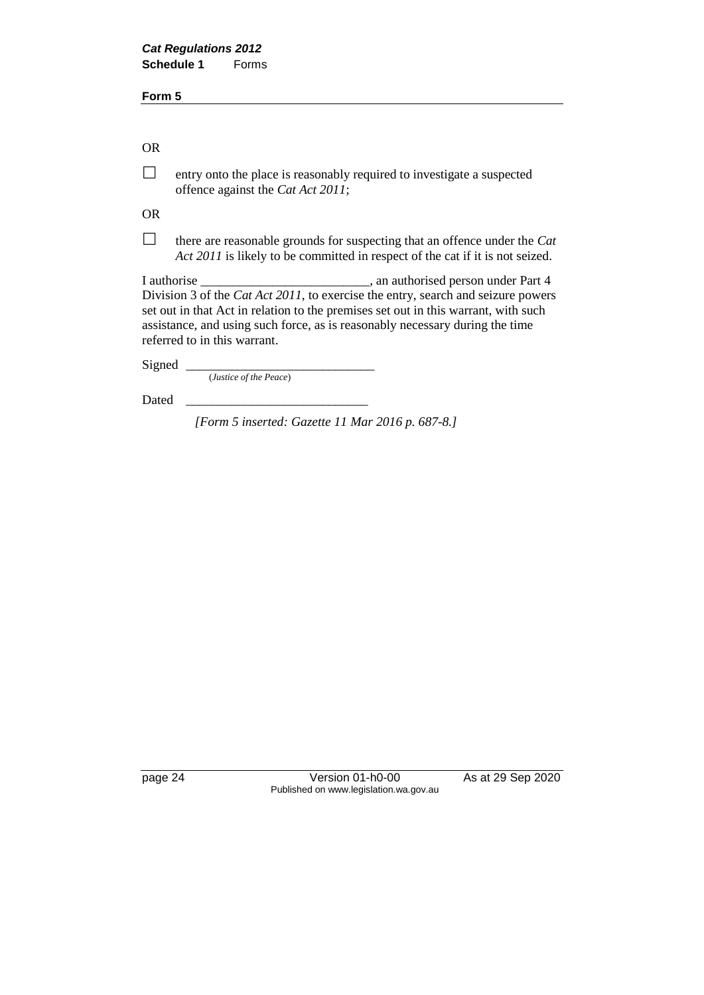OR

 $\Box$  entry onto the place is reasonably required to investigate a suspected offence against the *Cat Act 2011*;

OR

 $\Box$  there are reasonable grounds for suspecting that an offence under the *Cat Act 2011* is likely to be committed in respect of the cat if it is not seized.

I authorise \_\_\_\_\_\_\_\_\_\_\_\_\_\_\_\_\_\_\_\_\_\_\_\_\_\_, an authorised person under Part 4 Division 3 of the *Cat Act 2011*, to exercise the entry, search and seizure powers set out in that Act in relation to the premises set out in this warrant, with such assistance, and using such force, as is reasonably necessary during the time referred to in this warrant.

Signed \_

(*Justice of the Peace*)

Dated

*[Form 5 inserted: Gazette 11 Mar 2016 p. 687-8.]*

page 24 Version 01-h0-00 As at 29 Sep 2020 Published on www.legislation.wa.gov.au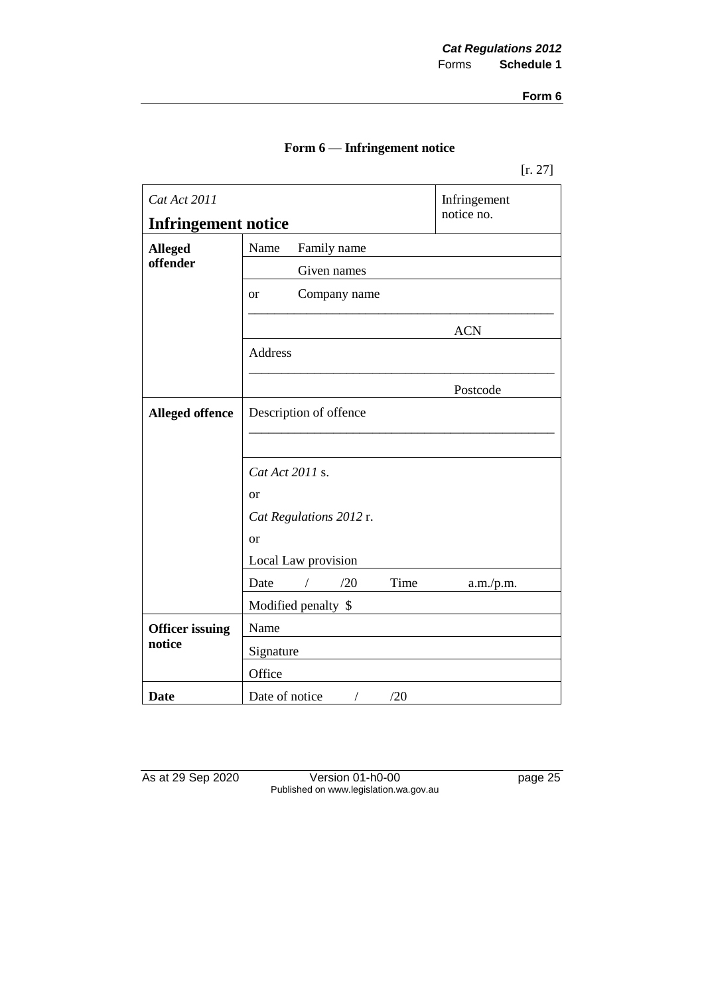|  |  |  | Form 6 — Infringement notice |
|--|--|--|------------------------------|
|--|--|--|------------------------------|

| Cat Act 2011               |                           | Infringement |
|----------------------------|---------------------------|--------------|
| <b>Infringement notice</b> |                           | notice no.   |
| <b>Alleged</b>             | Name<br>Family name       |              |
| offender                   | Given names               |              |
|                            | Company name<br><b>or</b> |              |
|                            |                           | <b>ACN</b>   |
|                            | Address                   |              |
|                            |                           | Postcode     |
| <b>Alleged offence</b>     | Description of offence    |              |
|                            |                           |              |
|                            | Cat Act 2011 s.           |              |
|                            | or                        |              |
|                            | Cat Regulations 2012 r.   |              |
|                            | or                        |              |
|                            | Local Law provision       |              |
|                            | Time<br>/20<br>Date       | a.m./p.m.    |
|                            | Modified penalty \$       |              |
| <b>Officer issuing</b>     | Name                      |              |
| notice                     | Signature                 |              |
|                            | Office                    |              |
| <b>Date</b>                | Date of notice<br>/20     |              |

As at 29 Sep 2020 Version 01-h0-00 page 25 Published on www.legislation.wa.gov.au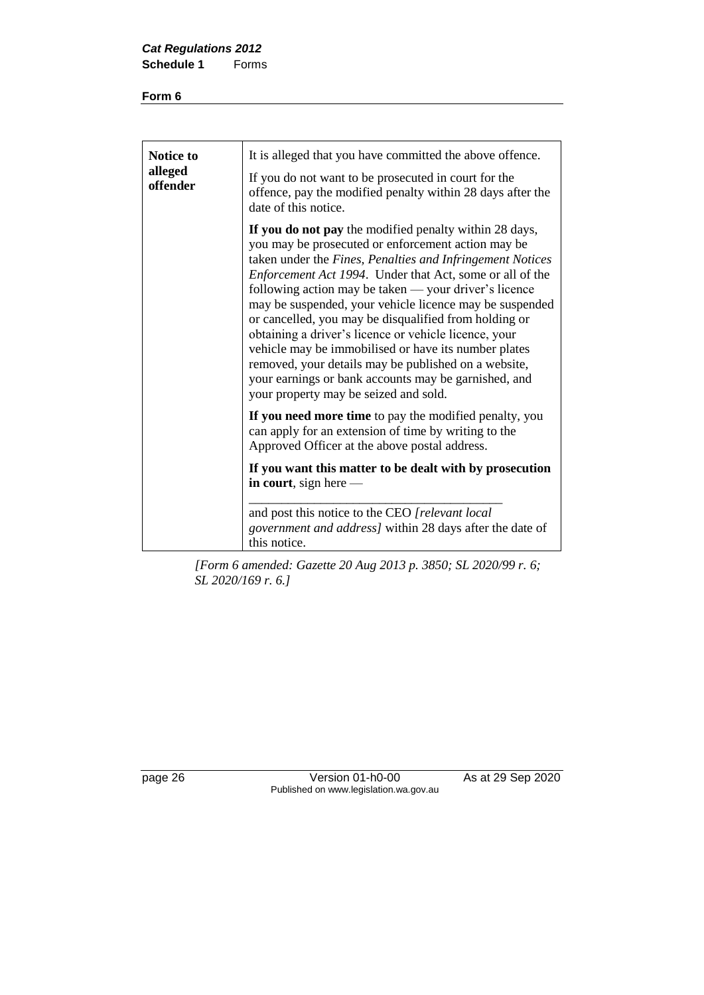| <b>Notice to</b><br>alleged<br>offender | It is alleged that you have committed the above offence.<br>If you do not want to be prosecuted in court for the<br>offence, pay the modified penalty within 28 days after the<br>date of this notice.                                                                                                                                                                                                                                                                                                                                                                                                                                                                                       |
|-----------------------------------------|----------------------------------------------------------------------------------------------------------------------------------------------------------------------------------------------------------------------------------------------------------------------------------------------------------------------------------------------------------------------------------------------------------------------------------------------------------------------------------------------------------------------------------------------------------------------------------------------------------------------------------------------------------------------------------------------|
|                                         | If you do not pay the modified penalty within 28 days,<br>you may be prosecuted or enforcement action may be<br>taken under the Fines, Penalties and Infringement Notices<br>Enforcement Act 1994. Under that Act, some or all of the<br>following action may be taken — your driver's licence<br>may be suspended, your vehicle licence may be suspended<br>or cancelled, you may be disqualified from holding or<br>obtaining a driver's licence or vehicle licence, your<br>vehicle may be immobilised or have its number plates<br>removed, your details may be published on a website,<br>your earnings or bank accounts may be garnished, and<br>your property may be seized and sold. |
|                                         | If you need more time to pay the modified penalty, you<br>can apply for an extension of time by writing to the<br>Approved Officer at the above postal address.                                                                                                                                                                                                                                                                                                                                                                                                                                                                                                                              |
|                                         | If you want this matter to be dealt with by prosecution<br>in court, sign here $-$                                                                                                                                                                                                                                                                                                                                                                                                                                                                                                                                                                                                           |
|                                         | and post this notice to the CEO [relevant local]<br><i>government and address]</i> within 28 days after the date of<br>this notice.                                                                                                                                                                                                                                                                                                                                                                                                                                                                                                                                                          |

*[Form 6 amended: Gazette 20 Aug 2013 p. 3850; SL 2020/99 r. 6; SL 2020/169 r. 6.]*

page 26 Version 01-h0-00 As at 29 Sep 2020 Published on www.legislation.wa.gov.au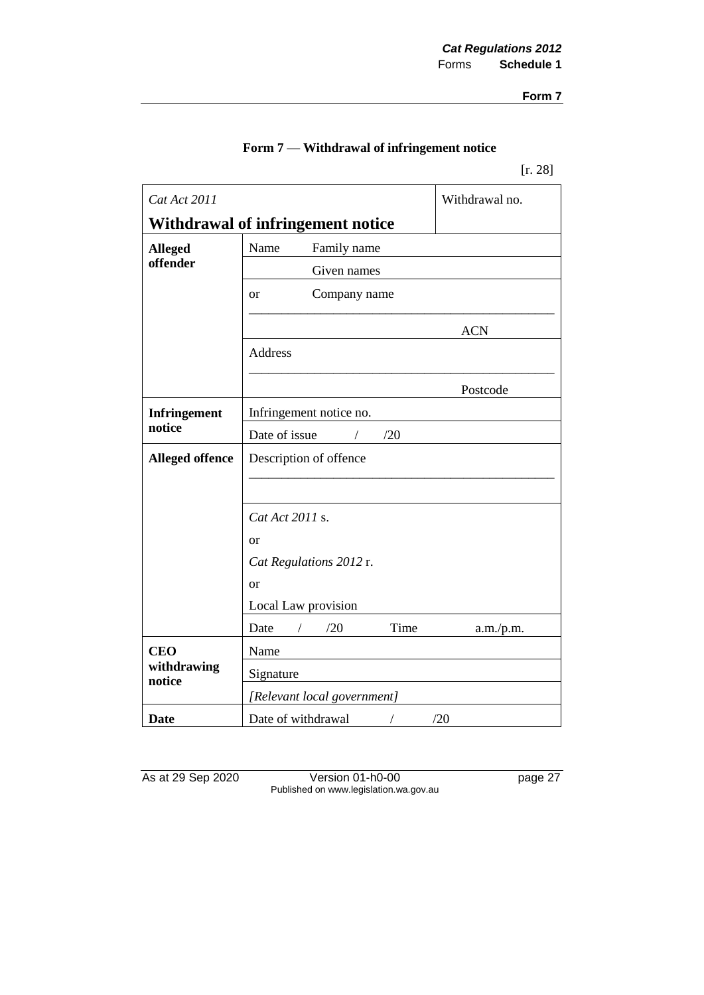[r. 28]

| Cat Act 2011           |                                    | Withdrawal no. |
|------------------------|------------------------------------|----------------|
|                        | Withdrawal of infringement notice  |                |
| <b>Alleged</b>         | Name<br>Family name                |                |
| offender               | Given names                        |                |
|                        | Company name<br><sub>or</sub>      |                |
|                        |                                    | <b>ACN</b>     |
|                        | Address                            |                |
|                        |                                    | Postcode       |
| <b>Infringement</b>    | Infringement notice no.            |                |
| notice                 | Date of issue<br>/20<br>$\sqrt{2}$ |                |
| <b>Alleged offence</b> | Description of offence             |                |
|                        |                                    |                |
|                        | Cat Act 2011 s.                    |                |
|                        | <sub>or</sub>                      |                |
|                        | Cat Regulations 2012 r.            |                |
|                        | or                                 |                |
|                        | Local Law provision                |                |
|                        | /20<br>Time<br>Date                | a.m./p.m.      |
| <b>CEO</b>             | Name                               |                |
| withdrawing<br>notice  | Signature                          |                |
|                        | [Relevant local government]        |                |
| Date                   | Date of withdrawal                 | /20            |

As at 29 Sep 2020 Version 01-h0-00 page 27 Published on www.legislation.wa.gov.au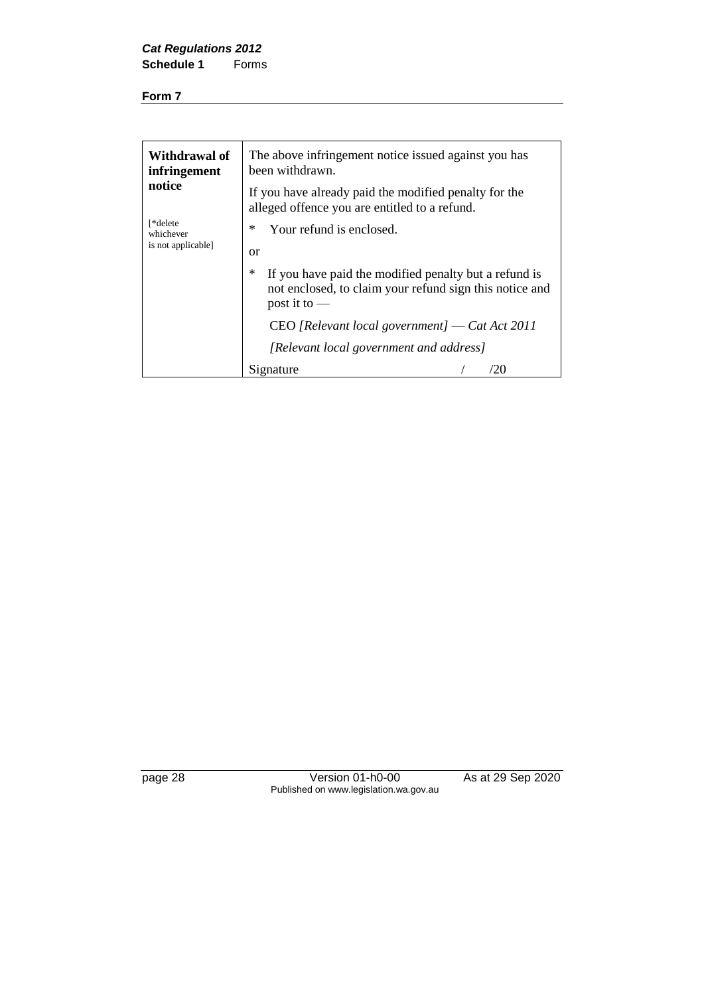| Withdrawal of<br>infringement<br>notice | The above infringement notice issued against you has<br>been withdrawn.<br>If you have already paid the modified penalty for the        |
|-----------------------------------------|-----------------------------------------------------------------------------------------------------------------------------------------|
| [*delete<br>whichever                   | alleged offence you are entitled to a refund.<br>∗<br>Your refund is enclosed.                                                          |
| is not applicable]                      | <b>or</b>                                                                                                                               |
|                                         | ∗<br>If you have paid the modified penalty but a refund is<br>not enclosed, to claim your refund sign this notice and<br>post it to $-$ |
|                                         | $CEO$ [Relevant local government] — Cat Act 2011                                                                                        |
|                                         | [Relevant local government and address]                                                                                                 |
|                                         | Signature<br>20                                                                                                                         |

page 28 Version 01-h0-00 As at 29 Sep 2020 Published on www.legislation.wa.gov.au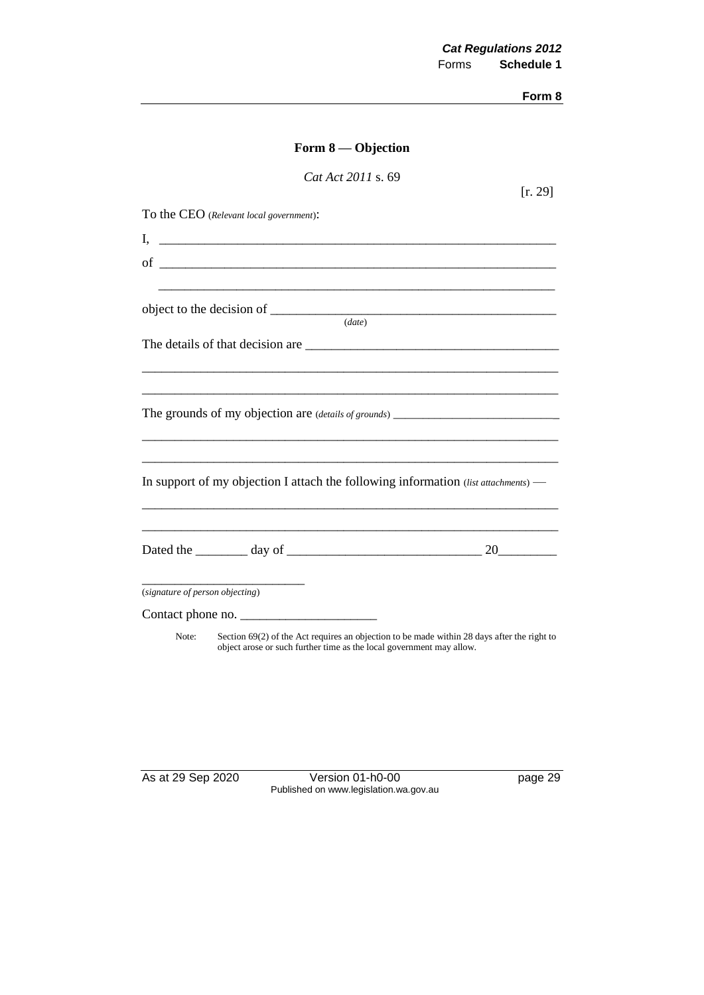|                                         | Form $8$ — Objection                                                                                                                                                  |
|-----------------------------------------|-----------------------------------------------------------------------------------------------------------------------------------------------------------------------|
|                                         | Cat Act 2011 s. 69                                                                                                                                                    |
| To the CEO (Relevant local government): | [r. 29]                                                                                                                                                               |
|                                         |                                                                                                                                                                       |
|                                         |                                                                                                                                                                       |
|                                         |                                                                                                                                                                       |
|                                         | (data)                                                                                                                                                                |
|                                         |                                                                                                                                                                       |
|                                         |                                                                                                                                                                       |
|                                         |                                                                                                                                                                       |
|                                         |                                                                                                                                                                       |
|                                         | In support of my objection I attach the following information (list attachments) -                                                                                    |
|                                         | Dated the $\_\_\_\_$ day of $\_\_\_\_\_\_\_$ and $\_$ 20                                                                                                              |
| (signature of person objecting)         |                                                                                                                                                                       |
| Contact phone no.                       |                                                                                                                                                                       |
| Note:                                   | Section $69(2)$ of the Act requires an objection to be made within 28 days after the right to<br>object arose or such further time as the local government may allow. |

As at 29 Sep 2020 Version 01-h0-00 page 29 Published on www.legislation.wa.gov.au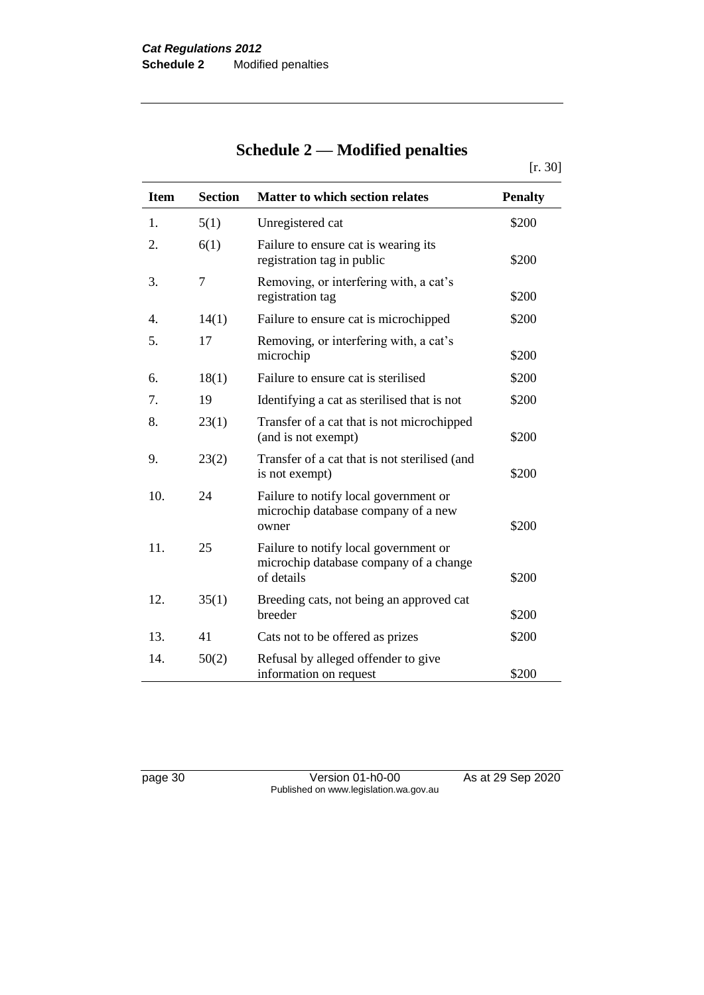## **Schedule 2 — Modified penalties**

[r. 30]

| <b>Item</b> | <b>Section</b> | <b>Matter to which section relates</b>                                                        | <b>Penalty</b> |
|-------------|----------------|-----------------------------------------------------------------------------------------------|----------------|
| 1.          | 5(1)           | Unregistered cat                                                                              | \$200          |
| 2.          | 6(1)           | Failure to ensure cat is wearing its<br>registration tag in public                            | \$200          |
| 3.          | 7              | Removing, or interfering with, a cat's<br>registration tag                                    | \$200          |
| 4.          | 14(1)          | Failure to ensure cat is microchipped                                                         | \$200          |
| 5.          | 17             | Removing, or interfering with, a cat's<br>microchip                                           | \$200          |
| 6.          | 18(1)          | Failure to ensure cat is sterilised                                                           | \$200          |
| 7.          | 19             | Identifying a cat as sterilised that is not                                                   | \$200          |
| 8.          | 23(1)          | Transfer of a cat that is not microchipped<br>(and is not exempt)                             | \$200          |
| 9.          | 23(2)          | Transfer of a cat that is not sterilised (and<br>is not exempt)                               | \$200          |
| 10.         | 24             | Failure to notify local government or<br>microchip database company of a new<br>owner         | \$200          |
| 11.         | 25             | Failure to notify local government or<br>microchip database company of a change<br>of details | \$200          |
| 12.         | 35(1)          | Breeding cats, not being an approved cat<br>breeder                                           | \$200          |
| 13.         | 41             | Cats not to be offered as prizes                                                              | \$200          |
| 14.         | 50(2)          | Refusal by alleged offender to give<br>information on request                                 | \$200          |

page 30 Version 01-h0-00 As at 29 Sep 2020 Published on www.legislation.wa.gov.au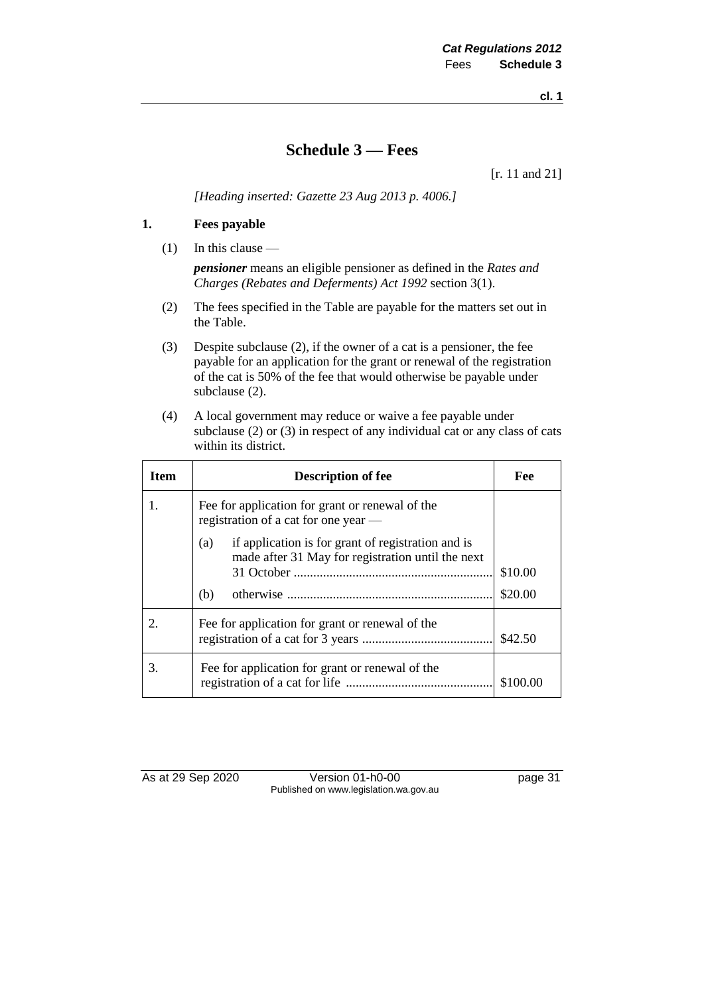**cl. 1**

#### **Schedule 3 — Fees**

[r. 11 and 21]

*[Heading inserted: Gazette 23 Aug 2013 p. 4006.]*

#### **1. Fees payable**

(1) In this clause —

*pensioner* means an eligible pensioner as defined in the *Rates and Charges (Rebates and Deferments) Act 1992* section 3(1).

- (2) The fees specified in the Table are payable for the matters set out in the Table.
- (3) Despite subclause (2), if the owner of a cat is a pensioner, the fee payable for an application for the grant or renewal of the registration of the cat is 50% of the fee that would otherwise be payable under subclause (2).
- (4) A local government may reduce or waive a fee payable under subclause (2) or (3) in respect of any individual cat or any class of cats within its district.

| <b>Item</b>           | <b>Description of fee</b>                                                                                             | Fee                |
|-----------------------|-----------------------------------------------------------------------------------------------------------------------|--------------------|
| 1.                    | Fee for application for grant or renewal of the<br>registration of a cat for one year —                               |                    |
|                       | if application is for grant of registration and is<br>(a)<br>made after 31 May for registration until the next<br>(b) | \$10.00<br>\$20.00 |
| $\mathcal{D}_{\cdot}$ | Fee for application for grant or renewal of the                                                                       | \$42.50            |
| 3.                    | Fee for application for grant or renewal of the                                                                       | \$100.00           |

As at 29 Sep 2020 Version 01-h0-00 page 31 Published on www.legislation.wa.gov.au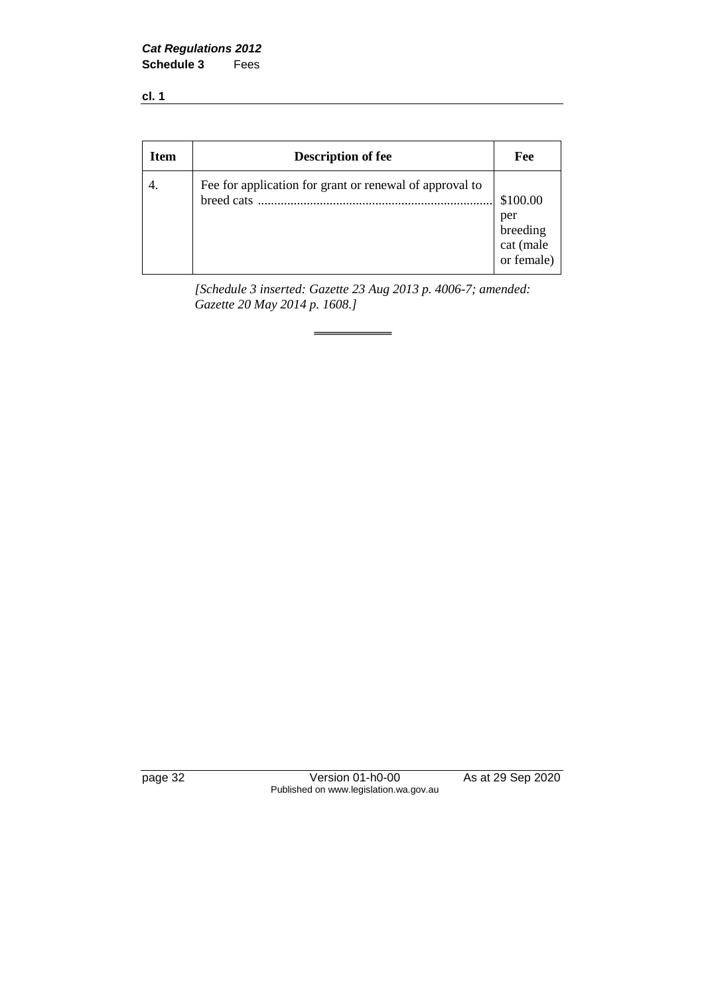*Cat Regulations 2012* **Schedule 3** Fees

**cl. 1**

| <b>Item</b> | <b>Description of fee</b>                                             | Fee                                                    |
|-------------|-----------------------------------------------------------------------|--------------------------------------------------------|
|             | Fee for application for grant or renewal of approval to<br>breed cats | \$100.00<br>per<br>breeding<br>cat (male<br>or female) |

*[Schedule 3 inserted: Gazette 23 Aug 2013 p. 4006-7; amended: Gazette 20 May 2014 p. 1608.]*

page 32 Version 01-h0-00 As at 29 Sep 2020 Published on www.legislation.wa.gov.au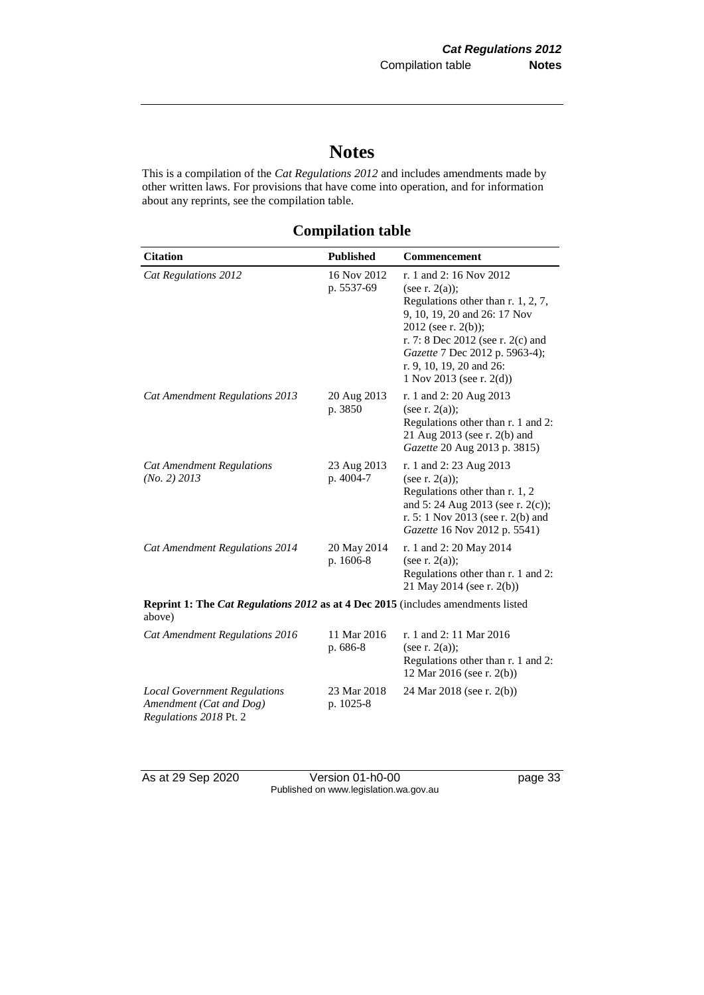## **Notes**

This is a compilation of the *Cat Regulations 2012* and includes amendments made by other written laws. For provisions that have come into operation, and for information about any reprints, see the compilation table.

**Compilation table**

| <b>Citation</b>                                                                                   | <b>Published</b>          | <b>Commencement</b>                                                                                                                                                                                                                                                         |  |
|---------------------------------------------------------------------------------------------------|---------------------------|-----------------------------------------------------------------------------------------------------------------------------------------------------------------------------------------------------------------------------------------------------------------------------|--|
| Cat Regulations 2012                                                                              | 16 Nov 2012<br>p. 5537-69 | r. 1 and 2: 16 Nov 2012<br>(see r. $2(a)$ );<br>Regulations other than $r. 1, 2, 7$ ,<br>9, 10, 19, 20 and 26: 17 Nov<br>2012 (see r. 2(b));<br>r. 7: 8 Dec 2012 (see r. 2(c) and<br>Gazette 7 Dec 2012 p. 5963-4);<br>r. 9, 10, 19, 20 and 26:<br>1 Nov 2013 (see r. 2(d)) |  |
| Cat Amendment Regulations 2013                                                                    | 20 Aug 2013<br>p. 3850    | r. 1 and 2: 20 Aug 2013<br>(see r. $2(a)$ );<br>Regulations other than r. 1 and 2:<br>21 Aug 2013 (see r. 2(b) and<br>Gazette 20 Aug 2013 p. 3815)                                                                                                                          |  |
| <b>Cat Amendment Regulations</b><br>(No. 2) 2013                                                  | 23 Aug 2013<br>p. 4004-7  | r. 1 and 2: 23 Aug 2013<br>(see r. $2(a)$ );<br>Regulations other than r. 1, 2<br>and 5: 24 Aug 2013 (see r. 2(c));<br>r. 5: 1 Nov 2013 (see r. 2(b) and<br>Gazette 16 Nov 2012 p. 5541)                                                                                    |  |
| Cat Amendment Regulations 2014                                                                    | 20 May 2014<br>p. 1606-8  | r. 1 and 2: 20 May 2014<br>(see r. $2(a)$ );<br>Regulations other than r. 1 and 2:<br>21 May 2014 (see r. 2(b))                                                                                                                                                             |  |
| <b>Reprint 1: The Cat Regulations 2012 as at 4 Dec 2015</b> (includes amendments listed<br>above) |                           |                                                                                                                                                                                                                                                                             |  |
| Cat Amendment Regulations 2016                                                                    | 11 Mar 2016<br>p. 686-8   | r. 1 and 2: 11 Mar 2016<br>(see r. $2(a)$ );<br>Regulations other than r. 1 and 2:<br>12 Mar 2016 (see r. 2(b))                                                                                                                                                             |  |
| <b>Local Government Regulations</b><br>Amendment (Cat and Dog)<br>Regulations 2018 Pt. 2          | 23 Mar 2018<br>p. 1025-8  | 24 Mar 2018 (see r. 2(b))                                                                                                                                                                                                                                                   |  |

As at 29 Sep 2020 Version 01-h0-00 page 33 Published on www.legislation.wa.gov.au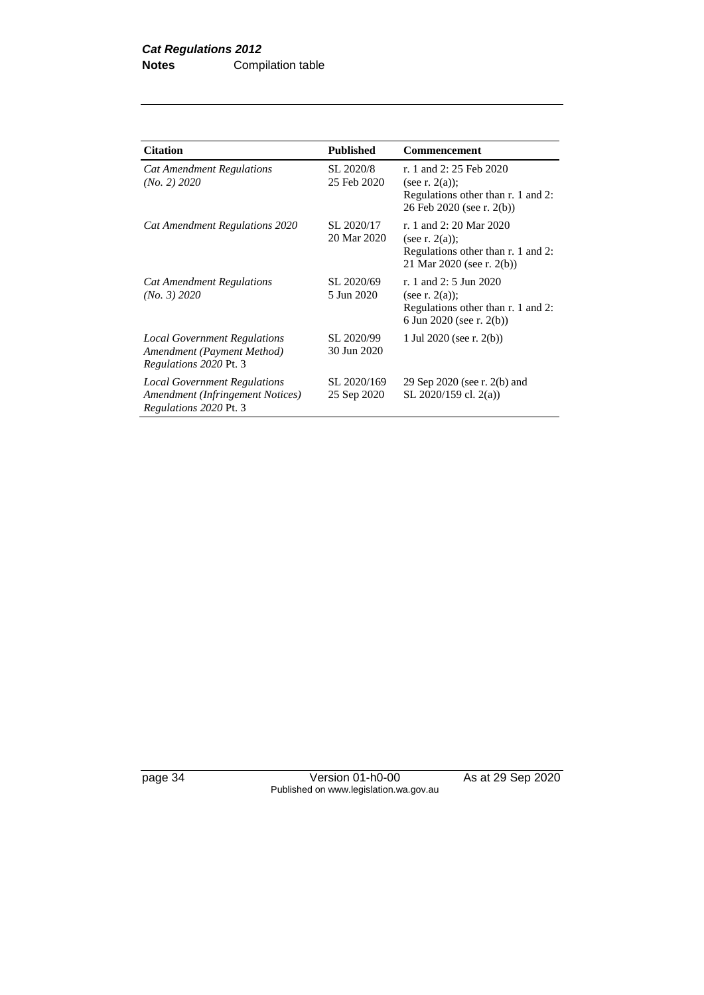| <b>Citation</b>                                                                                          | <b>Published</b>           | <b>Commencement</b>                                                                                             |
|----------------------------------------------------------------------------------------------------------|----------------------------|-----------------------------------------------------------------------------------------------------------------|
| <b>Cat Amendment Regulations</b><br>(No. 2) 2020                                                         | SL 2020/8<br>25 Feb 2020   | r. 1 and 2: 25 Feb 2020<br>(see r. $2(a)$ );<br>Regulations other than r. 1 and 2:<br>26 Feb 2020 (see r. 2(b)) |
| Cat Amendment Regulations 2020                                                                           | SL 2020/17<br>20 Mar 2020  | r. 1 and 2: 20 Mar 2020<br>(see r. $2(a)$ );<br>Regulations other than r. 1 and 2:<br>21 Mar 2020 (see r. 2(b)) |
| <b>Cat Amendment Regulations</b><br>(No. 3) 2020                                                         | SL 2020/69<br>5 Jun 2020   | r. 1 and 2: 5 Jun 2020<br>(see r. $2(a)$ );<br>Regulations other than r. 1 and 2:<br>6 Jun 2020 (see r. 2(b))   |
| <b>Local Government Regulations</b><br>Amendment (Payment Method)<br>Regulations 2020 Pt. 3              | SL 2020/99<br>30 Jun 2020  | 1 Jul 2020 (see r. $2(b)$ )                                                                                     |
| <b>Local Government Regulations</b><br>Amendment (Infringement Notices)<br><i>Regulations 2020 Pt. 3</i> | SL 2020/169<br>25 Sep 2020 | 29 Sep 2020 (see r. 2(b) and<br>SL 2020/159 cl. 2(a))                                                           |

page 34 Version 01-h0-00 As at 29 Sep 2020 Published on www.legislation.wa.gov.au